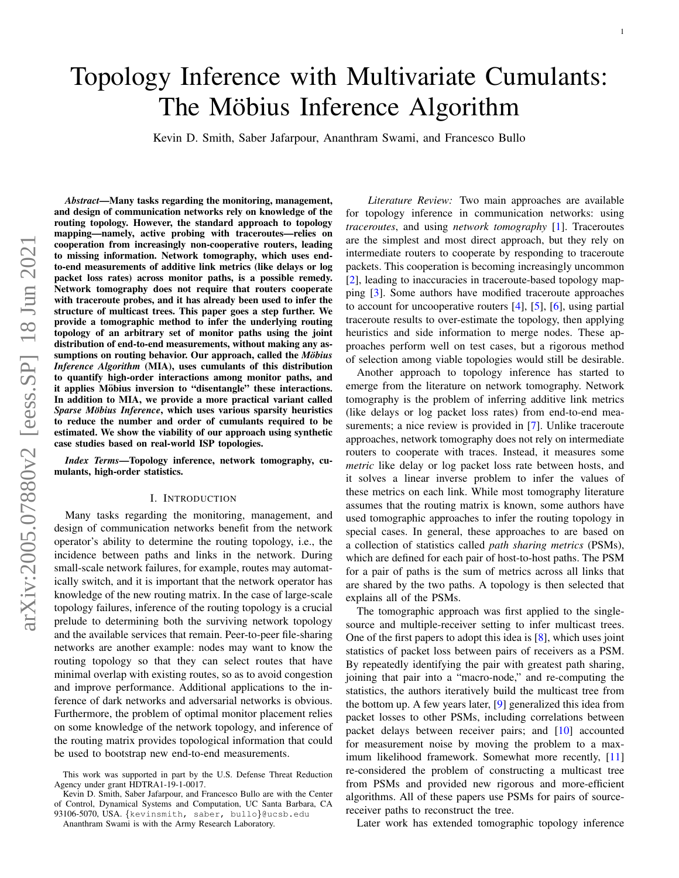# Topology Inference with Multivariate Cumulants: The Möbius Inference Algorithm

Kevin D. Smith, Saber Jafarpour, Ananthram Swami, and Francesco Bullo

*Abstract*—Many tasks regarding the monitoring, management, and design of communication networks rely on knowledge of the routing topology. However, the standard approach to topology mapping—namely, active probing with traceroutes—relies on cooperation from increasingly non-cooperative routers, leading to missing information. Network tomography, which uses endto-end measurements of additive link metrics (like delays or log packet loss rates) across monitor paths, is a possible remedy. Network tomography does not require that routers cooperate with traceroute probes, and it has already been used to infer the structure of multicast trees. This paper goes a step further. We provide a tomographic method to infer the underlying routing topology of an arbitrary set of monitor paths using the joint distribution of end-to-end measurements, without making any assumptions on routing behavior. Our approach, called the *Möbius Inference Algorithm* (MIA), uses cumulants of this distribution to quantify high-order interactions among monitor paths, and it applies Möbius inversion to "disentangle" these interactions. In addition to MIA, we provide a more practical variant called *Sparse Möbius Inference*, which uses various sparsity heuristics to reduce the number and order of cumulants required to be estimated. We show the viability of our approach using synthetic case studies based on real-world ISP topologies.

*Index Terms*—Topology inference, network tomography, cumulants, high-order statistics.

#### I. INTRODUCTION

Many tasks regarding the monitoring, management, and design of communication networks benefit from the network operator's ability to determine the routing topology, i.e., the incidence between paths and links in the network. During small-scale network failures, for example, routes may automatically switch, and it is important that the network operator has knowledge of the new routing matrix. In the case of large-scale topology failures, inference of the routing topology is a crucial prelude to determining both the surviving network topology and the available services that remain. Peer-to-peer file-sharing networks are another example: nodes may want to know the routing topology so that they can select routes that have minimal overlap with existing routes, so as to avoid congestion and improve performance. Additional applications to the inference of dark networks and adversarial networks is obvious. Furthermore, the problem of optimal monitor placement relies on some knowledge of the network topology, and inference of the routing matrix provides topological information that could be used to bootstrap new end-to-end measurements.

Kevin D. Smith, Saber Jafarpour, and Francesco Bullo are with the Center of Control, Dynamical Systems and Computation, UC Santa Barbara, CA

93106-5070, USA. {kevinsmith, saber, bullo}@ucsb.edu Ananthram Swami is with the Army Research Laboratory.

*Literature Review:* Two main approaches are available for topology inference in communication networks: using *traceroutes*, and using *network tomography* [1]. Traceroutes are the simplest and most direct approach, but they rely on intermediate routers to cooperate by responding to traceroute packets. This cooperation is becoming increasingly uncommon [2], leading to inaccuracies in traceroute-based topology mapping [3]. Some authors have modified traceroute approaches to account for uncooperative routers [4], [5], [6], using partial traceroute results to over-estimate the topology, then applying heuristics and side information to merge nodes. These approaches perform well on test cases, but a rigorous method of selection among viable topologies would still be desirable.

Another approach to topology inference has started to emerge from the literature on network tomography. Network tomography is the problem of inferring additive link metrics (like delays or log packet loss rates) from end-to-end measurements; a nice review is provided in [7]. Unlike traceroute approaches, network tomography does not rely on intermediate routers to cooperate with traces. Instead, it measures some *metric* like delay or log packet loss rate between hosts, and it solves a linear inverse problem to infer the values of these metrics on each link. While most tomography literature assumes that the routing matrix is known, some authors have used tomographic approaches to infer the routing topology in special cases. In general, these approaches to are based on a collection of statistics called *path sharing metrics* (PSMs), which are defined for each pair of host-to-host paths. The PSM for a pair of paths is the sum of metrics across all links that are shared by the two paths. A topology is then selected that explains all of the PSMs.

The tomographic approach was first applied to the singlesource and multiple-receiver setting to infer multicast trees. One of the first papers to adopt this idea is [8], which uses joint statistics of packet loss between pairs of receivers as a PSM. By repeatedly identifying the pair with greatest path sharing, joining that pair into a "macro-node," and re-computing the statistics, the authors iteratively build the multicast tree from the bottom up. A few years later, [9] generalized this idea from packet losses to other PSMs, including correlations between packet delays between receiver pairs; and [10] accounted for measurement noise by moving the problem to a maximum likelihood framework. Somewhat more recently, [11] re-considered the problem of constructing a multicast tree from PSMs and provided new rigorous and more-efficient algorithms. All of these papers use PSMs for pairs of sourcereceiver paths to reconstruct the tree.

Later work has extended tomographic topology inference

This work was supported in part by the U.S. Defense Threat Reduction Agency under grant HDTRA1-19-1-0017.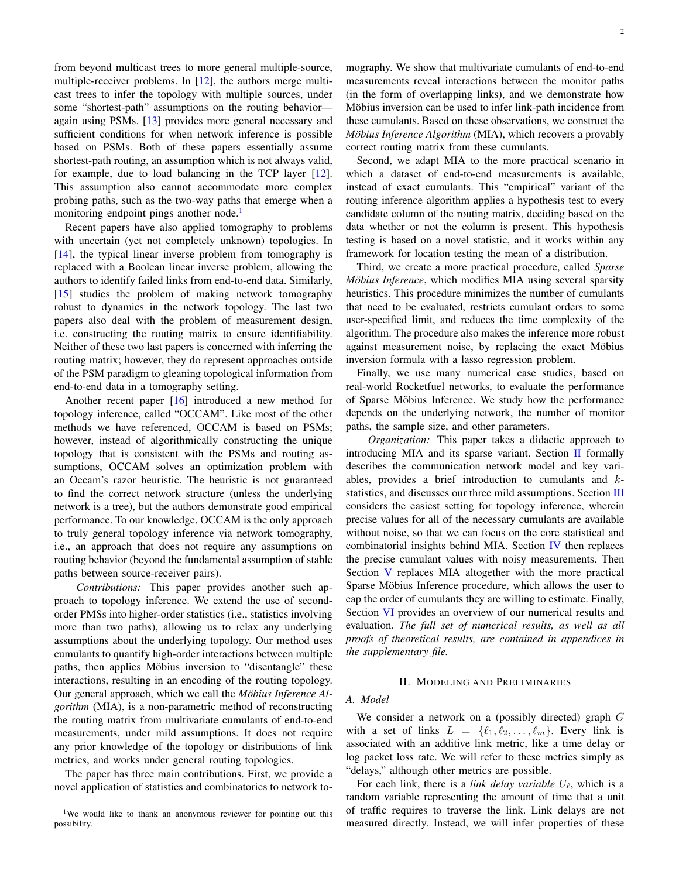from beyond multicast trees to more general multiple-source, multiple-receiver problems. In  $[12]$ , the authors merge multicast trees to infer the topology with multiple sources, under some "shortest-path" assumptions on the routing behavior again using PSMs. [13] provides more general necessary and sufficient conditions for when network inference is possible based on PSMs. Both of these papers essentially assume shortest-path routing, an assumption which is not always valid, for example, due to load balancing in the TCP layer [12]. This assumption also cannot accommodate more complex probing paths, such as the two-way paths that emerge when a monitoring endpoint pings another node.<sup>1</sup>

Recent papers have also applied tomography to problems with uncertain (yet not completely unknown) topologies. In [14], the typical linear inverse problem from tomography is replaced with a Boolean linear inverse problem, allowing the authors to identify failed links from end-to-end data. Similarly, [15] studies the problem of making network tomography robust to dynamics in the network topology. The last two papers also deal with the problem of measurement design, i.e. constructing the routing matrix to ensure identifiability. Neither of these two last papers is concerned with inferring the routing matrix; however, they do represent approaches outside of the PSM paradigm to gleaning topological information from end-to-end data in a tomography setting.

Another recent paper [16] introduced a new method for topology inference, called "OCCAM". Like most of the other methods we have referenced, OCCAM is based on PSMs; however, instead of algorithmically constructing the unique topology that is consistent with the PSMs and routing assumptions, OCCAM solves an optimization problem with an Occam's razor heuristic. The heuristic is not guaranteed to find the correct network structure (unless the underlying network is a tree), but the authors demonstrate good empirical performance. To our knowledge, OCCAM is the only approach to truly general topology inference via network tomography, i.e., an approach that does not require any assumptions on routing behavior (beyond the fundamental assumption of stable paths between source-receiver pairs).

*Contributions:* This paper provides another such approach to topology inference. We extend the use of secondorder PMSs into higher-order statistics (i.e., statistics involving more than two paths), allowing us to relax any underlying assumptions about the underlying topology. Our method uses cumulants to quantify high-order interactions between multiple paths, then applies Möbius inversion to "disentangle" these interactions, resulting in an encoding of the routing topology. Our general approach, which we call the *Möbius Inference Algorithm* (MIA), is a non-parametric method of reconstructing the routing matrix from multivariate cumulants of end-to-end measurements, under mild assumptions. It does not require any prior knowledge of the topology or distributions of link metrics, and works under general routing topologies.

The paper has three main contributions. First, we provide a novel application of statistics and combinatorics to network tomography. We show that multivariate cumulants of end-to-end measurements reveal interactions between the monitor paths (in the form of overlapping links), and we demonstrate how Möbius inversion can be used to infer link-path incidence from these cumulants. Based on these observations, we construct the *Möbius Inference Algorithm* (MIA), which recovers a provably correct routing matrix from these cumulants.

Second, we adapt MIA to the more practical scenario in which a dataset of end-to-end measurements is available, instead of exact cumulants. This "empirical" variant of the routing inference algorithm applies a hypothesis test to every candidate column of the routing matrix, deciding based on the data whether or not the column is present. This hypothesis testing is based on a novel statistic, and it works within any framework for location testing the mean of a distribution.

Third, we create a more practical procedure, called *Sparse Möbius Inference*, which modifies MIA using several sparsity heuristics. This procedure minimizes the number of cumulants that need to be evaluated, restricts cumulant orders to some user-specified limit, and reduces the time complexity of the algorithm. The procedure also makes the inference more robust against measurement noise, by replacing the exact Möbius inversion formula with a lasso regression problem.

Finally, we use many numerical case studies, based on real-world Rocketfuel networks, to evaluate the performance of Sparse Möbius Inference. We study how the performance depends on the underlying network, the number of monitor paths, the sample size, and other parameters.

*Organization:* This paper takes a didactic approach to introducing MIA and its sparse variant. Section  $\Pi$  formally describes the communication network model and key variables, provides a brief introduction to cumulants and kstatistics, and discusses our three mild assumptions. Section III considers the easiest setting for topology inference, wherein precise values for all of the necessary cumulants are available without noise, so that we can focus on the core statistical and combinatorial insights behind MIA. Section  $IV$  then replaces the precise cumulant values with noisy measurements. Then Section V replaces MIA altogether with the more practical Sparse Möbius Inference procedure, which allows the user to cap the order of cumulants they are willing to estimate. Finally, Section VI provides an overview of our numerical results and evaluation. *The full set of numerical results, as well as all proofs of theoretical results, are contained in appendices in the supplementary file.*

#### II. MODELING AND PRELIMINARIES

#### *A. Model*

We consider a network on a (possibly directed) graph G with a set of links  $L = \{\ell_1, \ell_2, \ldots, \ell_m\}$ . Every link is associated with an additive link metric, like a time delay or log packet loss rate. We will refer to these metrics simply as "delays," although other metrics are possible.

For each link, there is a *link delay variable*  $U_\ell$ , which is a random variable representing the amount of time that a unit of traffic requires to traverse the link. Link delays are not measured directly. Instead, we will infer properties of these

<sup>&</sup>lt;sup>1</sup>We would like to thank an anonymous reviewer for pointing out this possibility.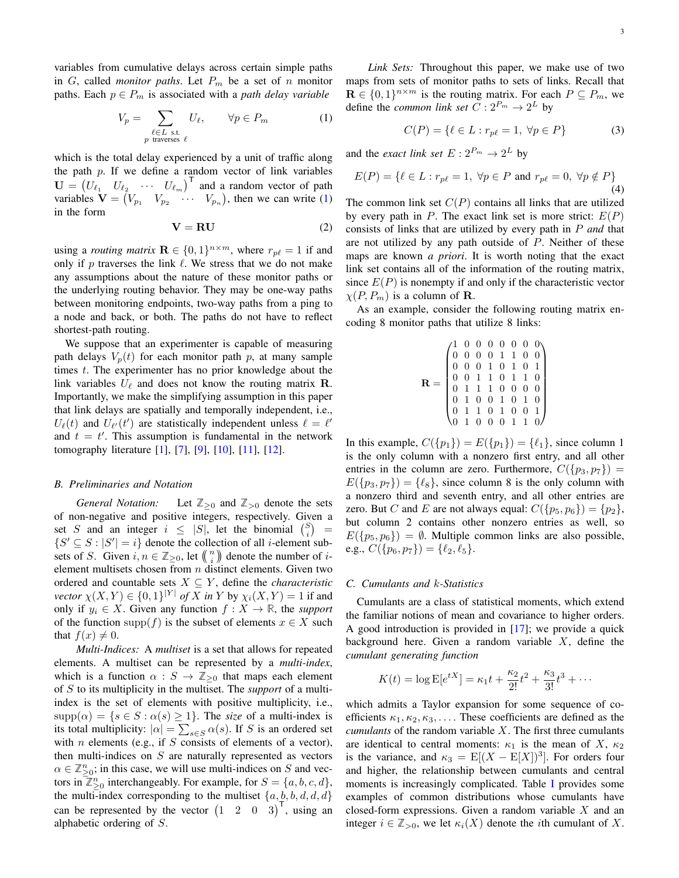variables from cumulative delays across certain simple paths in  $G$ , called *monitor paths*. Let  $P_m$  be a set of n monitor paths. Each  $p \in P_m$  is associated with a *path delay variable* 

$$
V_p = \sum_{\substack{\ell \in L \text{ s.t.} \\ p \text{ traverses } \ell}} U_{\ell}, \qquad \forall p \in P_m \tag{1}
$$

which is the total delay experienced by a unit of traffic along the path  $p$ . If we define a random vector of link variables  $\mathbf{U} = \begin{pmatrix} U_{\ell_1} & U_{\ell_2} & \cdots & U_{\ell_m} \end{pmatrix}^\mathsf{T}$  and a random vector of path variables  $\mathbf{V} = (V_{p_1} \quad V_{p_2} \quad \cdots \quad V_{p_n})$ , then we can write (1) in the form

$$
V = RU
$$
 (2)

using a *routing matrix*  $\mathbf{R} \in \{0, 1\}^{n \times m}$ , where  $r_{p\ell} = 1$  if and only if p traverses the link  $\ell$ . We stress that we do not make any assumptions about the nature of these monitor paths or the underlying routing behavior. They may be one-way paths between monitoring endpoints, two-way paths from a ping to a node and back, or both. The paths do not have to reflect shortest-path routing.

We suppose that an experimenter is capable of measuring path delays  $V_p(t)$  for each monitor path p, at many sample times t. The experimenter has no prior knowledge about the link variables  $U_{\ell}$  and does not know the routing matrix **R**. Importantly, we make the simplifying assumption in this paper that link delays are spatially and temporally independent, i.e.,  $U_{\ell}(t)$  and  $U_{\ell'}(t')$  are statistically independent unless  $\ell = \ell'$ and  $t = t'$ . This assumption is fundamental in the network tomography literature [1], [7], [9], [10], [11], [12].

#### *B. Preliminaries and Notation*

*General Notation:* Let  $\mathbb{Z}_{\geq 0}$  and  $\mathbb{Z}_{> 0}$  denote the sets of non-negative and positive integers, respectively. Given a set S and an integer  $i \leq |S|$ , let the binomial  $\binom{S}{i}$ =  $\{S' \subseteq S : |S'| = i\}$  denote the collection of all *i*-element subsets of *S*. Given  $i, n \in \mathbb{Z}_{\geq 0}$ , let  $\binom{n}{i}$  denote the number of *i*element multisets chosen from  $n$  distinct elements. Given two ordered and countable sets  $X \subseteq Y$ , define the *characteristic vector*  $\chi(X, Y) \in \{0, 1\}^{|Y|}$  *of* X *in* Y by  $\chi_i(X, Y) = 1$  if and only if  $y_i$  ∈ X. Given any function  $f : X \to \mathbb{R}$ , the *support* of the function supp(f) is the subset of elements  $x \in X$  such that  $f(x) \neq 0$ .

*Multi-Indices:* A *multiset* is a set that allows for repeated elements. A multiset can be represented by a *multi-index*, which is a function  $\alpha : S \to \mathbb{Z}_{\geq 0}$  that maps each element of S to its multiplicity in the multiset. The *support* of a multiindex is the set of elements with positive multiplicity, i.e.,  $supp(\alpha) = \{s \in S : \alpha(s) \geq 1\}$ . The *size* of a multi-index is its total multiplicity:  $|\alpha| = \sum_{s \in S} \alpha(s)$ . If S is an ordered set with  $n$  elements (e.g., if  $S$  consists of elements of a vector), then multi-indices on  $S$  are naturally represented as vectors  $\alpha \in \mathbb{Z}_{\geq 0}^n$ ; in this case, we will use multi-indices on S and vectors in  $\mathbb{Z}_{\geq 0}^n$  interchangeably. For example, for  $S = \{a, b, c, d\}$ , the multi-index corresponding to the multiset  $\{a, b, b, d, d, d\}$ can be represented by the vector  $(1 \quad 2 \quad 0 \quad 3)^{\mathsf{T}}$ , using an alphabetic ordering of S.

*Link Sets:* Throughout this paper, we make use of two maps from sets of monitor paths to sets of links. Recall that  $\mathbf{R} \in \{0,1\}^{n \times m}$  is the routing matrix. For each  $P \subseteq P_m$ , we define the *common link set*  $C: 2^{P_m} \to 2^L$  by

$$
C(P) = \{ \ell \in L : r_{p\ell} = 1, \ \forall p \in P \}
$$
 (3)

and the *exact link set*  $E: 2^{P_m} \to 2^L$  by

$$
E(P) = \{ \ell \in L : r_{p\ell} = 1, \,\forall p \in P \text{ and } r_{p\ell} = 0, \,\forall p \notin P \}
$$
\n
$$
\tag{4}
$$

The common link set  $C(P)$  contains all links that are utilized by every path in P. The exact link set is more strict:  $E(P)$ consists of links that are utilized by every path in P *and* that are not utilized by any path outside of  $P$ . Neither of these maps are known *a priori*. It is worth noting that the exact link set contains all of the information of the routing matrix, since  $E(P)$  is nonempty if and only if the characteristic vector  $\chi(P, P_m)$  is a column of **R**.

As an example, consider the following routing matrix encoding 8 monitor paths that utilize 8 links:

|  |  |  |  | $\begin{pmatrix} 1 & 0 & 0 & 0 & 0 & 0 & 0 & 0 \\ 0 & 0 & 0 & 0 & 1 & 1 & 0 & 0 \\ 0 & 0 & 0 & 1 & 0 & 1 & 0 & 1 \\ 0 & 0 & 1 & 1 & 0 & 1 & 1 & 0 \\ 0 & 1 & 1 & 1 & 0 & 0 & 0 & 0 \\ 0 & 1 & 0 & 0 & 1 & 0 & 1 & 0 \\ 0 & 1 & 1 & 0 & 1 & 0 & 0 & 1 \\ 0 & 1 & 0 & 0 & 0 & 1 & 1 & 0 \end{pmatrix}$ |
|--|--|--|--|------------------------------------------------------------------------------------------------------------------------------------------------------------------------------------------------------------------------------------------------------------------------------------------------------|
|  |  |  |  |                                                                                                                                                                                                                                                                                                      |
|  |  |  |  |                                                                                                                                                                                                                                                                                                      |
|  |  |  |  |                                                                                                                                                                                                                                                                                                      |
|  |  |  |  |                                                                                                                                                                                                                                                                                                      |

In this example,  $C({p_1}) = E({p_1}) = {\ell_1}$ , since column 1 is the only column with a nonzero first entry, and all other entries in the column are zero. Furthermore,  $C({p_3, p_7})$  =  $E({p_3, p_7}) = {\ell_8}$ , since column 8 is the only column with a nonzero third and seventh entry, and all other entries are zero. But C and E are not always equal:  $C({p_5, p_6}) = {p_2}$ , but column 2 contains other nonzero entries as well, so  $E({p_5, p_6}) = \emptyset$ . Multiple common links are also possible, e.g.,  $C({p_6, p_7}) = {\ell_2, \ell_5}.$ 

#### *C. Cumulants and* k*-Statistics*

Cumulants are a class of statistical moments, which extend the familiar notions of mean and covariance to higher orders. A good introduction is provided in [17]; we provide a quick background here. Given a random variable  $X$ , define the *cumulant generating function*

$$
K(t) = \log E[e^{tX}] = \kappa_1 t + \frac{\kappa_2}{2!}t^2 + \frac{\kappa_3}{3!}t^3 + \cdots
$$

which admits a Taylor expansion for some sequence of coefficients  $\kappa_1, \kappa_2, \kappa_3, \ldots$ . These coefficients are defined as the *cumulants* of the random variable X. The first three cumulants are identical to central moments:  $\kappa_1$  is the mean of X,  $\kappa_2$ is the variance, and  $\kappa_3 = \mathbb{E}[(X - \mathbb{E}[X])^3]$ . For orders four and higher, the relationship between cumulants and central moments is increasingly complicated. Table I provides some examples of common distributions whose cumulants have closed-form expressions. Given a random variable  $X$  and an integer  $i \in \mathbb{Z}_{>0}$ , we let  $\kappa_i(X)$  denote the *i*th cumulant of X.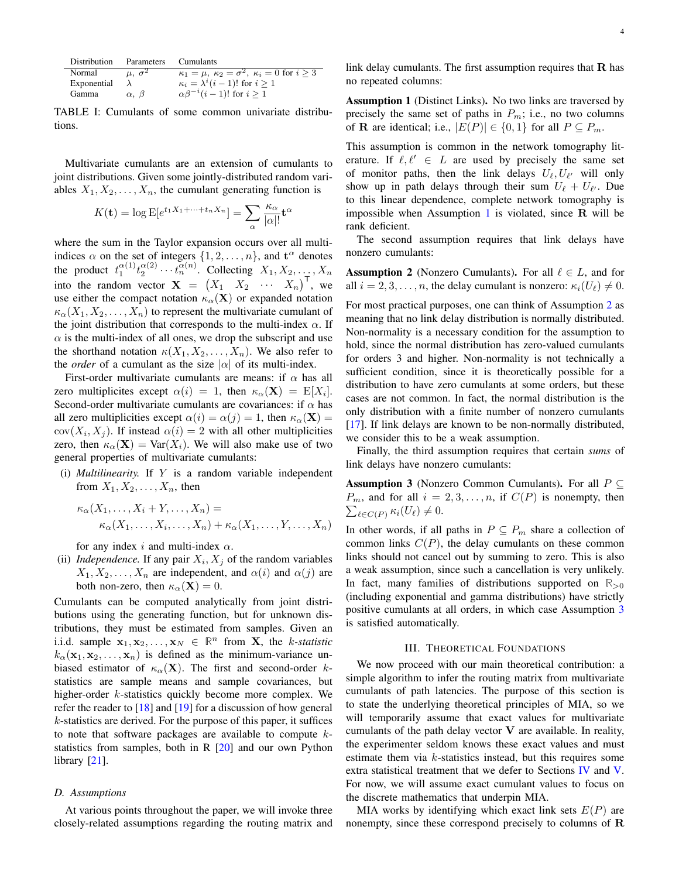| Distribution | Parameters         | <b>Cumulants</b>                                                                         |
|--------------|--------------------|------------------------------------------------------------------------------------------|
| Normal       | $\mu$ , $\sigma^2$ | $\kappa_1 = \overline{\mu, \ \kappa_2 = \sigma^2, \ \kappa_i = 0 \text{ for } i \geq 3}$ |
| Exponential  |                    | $\kappa_i = \lambda^i (i-1)!$ for $i \geq 1$                                             |
| Gamma        | $\alpha$ , $\beta$ | $\alpha \beta^{-i} (i-1)!$ for $i \geq 1$                                                |

TABLE I: Cumulants of some common univariate distributions.

Multivariate cumulants are an extension of cumulants to joint distributions. Given some jointly-distributed random variables  $X_1, X_2, \ldots, X_n$ , the cumulant generating function is

$$
K(\mathbf{t}) = \log \mathbb{E}[e^{t_1 X_1 + \dots + t_n X_n}] = \sum_{\alpha} \frac{\kappa_{\alpha}}{|\alpha|!} \mathbf{t}^{\alpha}
$$

where the sum in the Taylor expansion occurs over all multiindices  $\alpha$  on the set of integers  $\{1, 2, ..., n\}$ , and  $\mathbf{t}^{\alpha}$  denotes the product  $t_1^{\alpha(1)} t_2^{\alpha(2)} \cdots t_n^{\alpha(n)}$ . Collecting  $X_1, X_2, \ldots, X_n$ into the random vector  $\mathbf{X} = \begin{pmatrix} X_1 & X_2 & \cdots & X_n \end{pmatrix}^\mathsf{T}$ , we use either the compact notation  $\kappa_{\alpha}(\mathbf{X})$  or expanded notation  $\kappa_{\alpha}(X_1, X_2, \ldots, X_n)$  to represent the multivariate cumulant of the joint distribution that corresponds to the multi-index  $\alpha$ . If  $\alpha$  is the multi-index of all ones, we drop the subscript and use the shorthand notation  $\kappa(X_1, X_2, \ldots, X_n)$ . We also refer to the *order* of a cumulant as the size  $|\alpha|$  of its multi-index.

First-order multivariate cumulants are means: if  $\alpha$  has all zero multiplicites except  $\alpha(i) = 1$ , then  $\kappa_{\alpha}(\mathbf{X}) = \mathbb{E}[X_i].$ Second-order multivariate cumulants are covariances: if  $\alpha$  has all zero multiplicities except  $\alpha(i) = \alpha(j) = 1$ , then  $\kappa_{\alpha}(\mathbf{X}) =$  $cov(X_i, X_j)$ . If instead  $\alpha(i) = 2$  with all other multiplicities zero, then  $\kappa_{\alpha}(\mathbf{X}) = \text{Var}(X_i)$ . We will also make use of two general properties of multivariate cumulants:

(i) *Multilinearity.* If Y is a random variable independent from  $X_1, X_2, \ldots, X_n$ , then

$$
\kappa_{\alpha}(X_1, \ldots, X_i + Y, \ldots, X_n) =
$$
  
\n
$$
\kappa_{\alpha}(X_1, \ldots, X_i, \ldots, X_n) + \kappa_{\alpha}(X_1, \ldots, Y, \ldots, X_n)
$$

for any index i and multi-index  $\alpha$ .

(ii) *Independence*. If any pair  $X_i$ ,  $X_j$  of the random variables  $X_1, X_2, \ldots, X_n$  are independent, and  $\alpha(i)$  and  $\alpha(j)$  are both non-zero, then  $\kappa_{\alpha}(\mathbf{X}) = 0$ .

Cumulants can be computed analytically from joint distributions using the generating function, but for unknown distributions, they must be estimated from samples. Given an i.i.d. sample  $\mathbf{x}_1, \mathbf{x}_2, \dots, \mathbf{x}_N \in \mathbb{R}^n$  from **X**, the *k*-statistic  $k_{\alpha}(\mathbf{x}_1, \mathbf{x}_2, \dots, \mathbf{x}_n)$  is defined as the minimum-variance unbiased estimator of  $\kappa_{\alpha}(\mathbf{X})$ . The first and second-order kstatistics are sample means and sample covariances, but higher-order *k*-statistics quickly become more complex. We refer the reader to  $[18]$  and  $[19]$  for a discussion of how general  $k$ -statistics are derived. For the purpose of this paper, it suffices to note that software packages are available to compute  $k$ statistics from samples, both in R  $[20]$  and our own Python library [21].

#### *D. Assumptions*

At various points throughout the paper, we will invoke three closely-related assumptions regarding the routing matrix and link delay cumulants. The first assumption requires that  $R$  has no repeated columns:

Assumption 1 (Distinct Links). No two links are traversed by precisely the same set of paths in  $P_m$ ; i.e., no two columns of **R** are identical; i.e.,  $|E(P)| \in \{0, 1\}$  for all  $P \subseteq P_m$ .

This assumption is common in the network tomography literature. If  $\ell, \ell' \in L$  are used by precisely the same set of monitor paths, then the link delays  $U_{\ell}, U_{\ell'}$  will only show up in path delays through their sum  $U_{\ell} + U_{\ell'}$ . Due to this linear dependence, complete network tomography is impossible when Assumption 1 is violated, since  $\bf{R}$  will be rank deficient.

The second assumption requires that link delays have nonzero cumulants:

**Assumption 2** (Nonzero Cumulants). For all  $\ell \in L$ , and for all  $i = 2, 3, \ldots, n$ , the delay cumulant is nonzero:  $\kappa_i(U_\ell) \neq 0$ .

For most practical purposes, one can think of Assumption 2 as meaning that no link delay distribution is normally distributed. Non-normality is a necessary condition for the assumption to hold, since the normal distribution has zero-valued cumulants for orders 3 and higher. Non-normality is not technically a sufficient condition, since it is theoretically possible for a distribution to have zero cumulants at some orders, but these cases are not common. In fact, the normal distribution is the only distribution with a finite number of nonzero cumulants [17]. If link delays are known to be non-normally distributed, we consider this to be a weak assumption.

Finally, the third assumption requires that certain *sums* of link delays have nonzero cumulants:

**Assumption 3** (Nonzero Common Cumulants). For all  $P \subseteq$  $\sum_{\ell \in C(P)} \kappa_i(U_\ell) \neq 0.$  $P_m$ , and for all  $i = 2, 3, \ldots, n$ , if  $C(P)$  is nonempty, then

In other words, if all paths in  $P \subseteq P_m$  share a collection of common links  $C(P)$ , the delay cumulants on these common links should not cancel out by summing to zero. This is also a weak assumption, since such a cancellation is very unlikely. In fact, many families of distributions supported on  $\mathbb{R}_{>0}$ (including exponential and gamma distributions) have strictly positive cumulants at all orders, in which case Assumption 3 is satisfied automatically.

#### III. THEORETICAL FOUNDATIONS

We now proceed with our main theoretical contribution: a simple algorithm to infer the routing matrix from multivariate cumulants of path latencies. The purpose of this section is to state the underlying theoretical principles of MIA, so we will temporarily assume that exact values for multivariate cumulants of the path delay vector  $V$  are available. In reality, the experimenter seldom knows these exact values and must estimate them via k-statistics instead, but this requires some extra statistical treatment that we defer to Sections IV and V. For now, we will assume exact cumulant values to focus on the discrete mathematics that underpin MIA.

MIA works by identifying which exact link sets  $E(P)$  are nonempty, since these correspond precisely to columns of R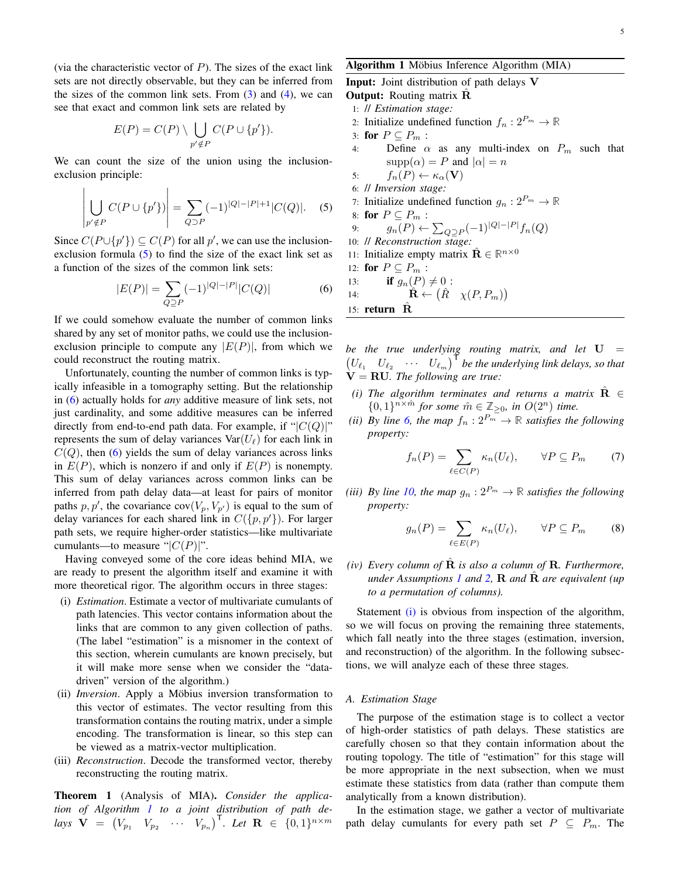(via the characteristic vector of  $P$ ). The sizes of the exact link sets are not directly observable, but they can be inferred from the sizes of the common link sets. From  $(3)$  and  $(4)$ , we can see that exact and common link sets are related by

$$
E(P) = C(P) \setminus \bigcup_{p' \notin P} C(P \cup \{p'\}).
$$

We can count the size of the union using the inclusionexclusion principle:

 $\mathbf{r}$ 

$$
\left| \bigcup_{p' \notin P} C(P \cup \{p'\}) \right| = \sum_{Q \supset P} (-1)^{|Q| - |P| + 1} |C(Q)|. \quad (5)
$$

Since  $C(P \cup \{p'\}) \subseteq C(P)$  for all p', we can use the inclusionexclusion formula  $(5)$  to find the size of the exact link set as a function of the sizes of the common link sets:

$$
|E(P)| = \sum_{Q \supseteq P} (-1)^{|Q| - |P|} |C(Q)| \tag{6}
$$

If we could somehow evaluate the number of common links shared by any set of monitor paths, we could use the inclusionexclusion principle to compute any  $|E(P)|$ , from which we could reconstruct the routing matrix.

Unfortunately, counting the number of common links is typically infeasible in a tomography setting. But the relationship in (6) actually holds for *any* additive measure of link sets, not just cardinality, and some additive measures can be inferred directly from end-to-end path data. For example, if " $|C(Q)|$ " represents the sum of delay variances  $Var(U_\ell)$  for each link in  $C(Q)$ , then (6) yields the sum of delay variances across links in  $E(P)$ , which is nonzero if and only if  $E(P)$  is nonempty. This sum of delay variances across common links can be inferred from path delay data—at least for pairs of monitor paths  $p, p'$ , the covariance cov $(V_p, V_{p'})$  is equal to the sum of delay variances for each shared link in  $C({p, p')})$ . For larger path sets, we require higher-order statistics—like multivariate cumulants—to measure " $|C(P)|$ ".

Having conveyed some of the core ideas behind MIA, we are ready to present the algorithm itself and examine it with more theoretical rigor. The algorithm occurs in three stages:

- (i) *Estimation*. Estimate a vector of multivariate cumulants of path latencies. This vector contains information about the links that are common to any given collection of paths. (The label "estimation" is a misnomer in the context of this section, wherein cumulants are known precisely, but it will make more sense when we consider the "datadriven" version of the algorithm.)
- (ii) *Inversion*. Apply a Möbius inversion transformation to this vector of estimates. The vector resulting from this transformation contains the routing matrix, under a simple encoding. The transformation is linear, so this step can be viewed as a matrix-vector multiplication.
- (iii) *Reconstruction*. Decode the transformed vector, thereby reconstructing the routing matrix.

Theorem 1 (Analysis of MIA). *Consider the application of Algorithm 1 to a joint distribution of path delays*  $\mathbf{V} = (V_{p_1} \quad V_{p_2} \quad \cdots \quad V_{p_n})^{\mathsf{T}}$ *. Let*  $\mathbf{R} \in \{0, 1\}^{n \times m}$ 

Algorithm 1 Möbius Inference Algorithm (MIA) Input: Joint distribution of path delays V **Output:** Routing matrix **R** 1: // *Estimation stage:* 2: Initialize undefined function  $f_n: 2^{P_m} \to \mathbb{R}$ 3: for  $P \subseteq P_m$ :<br>4: Define  $\alpha$ Define  $\alpha$  as any multi-index on  $P_m$  such that  $supp(\alpha) = P$  and  $|\alpha| = n$ 5:  $f_n(P) \leftarrow \kappa_\alpha(\mathbf{V})$ 6: // *Inversion stage:* 7: Initialize undefined function  $g_n : 2^{P_m} \to \mathbb{R}$ 8: for  $P \subseteq P_m$ :<br>9:  $q_n(P) \leftarrow$ 9:  $g_n(P) \leftarrow \sum_{Q \supseteq P} (-1)^{|Q| - |P|} f_n(Q)$ 10: // *Reconstruction stage:* 11: Initialize empty matrix  $\hat{\mathbf{R}} \in \mathbb{R}^{n \times 0}$ 12: **for**  $P \subseteq P_m$  :<br>13: **if**  $q_n(P)$ 13: **if**  $g_n(P) \neq 0$  :<br>14:  $\hat{\mathbf{R}} \leftarrow (\hat{R})$ 

14:  $\mathbf{\hat{R}} \leftarrow (\hat{R} \ \ \chi(P, P_m))$ 

15: return  $\ddot{\mathbf{R}}$ 

*be the true underlying routing matrix, and let* U =  $(U_{\ell_1} \quad U_{\ell_2} \quad \cdots \quad U_{\ell_m})^{\dagger}$  be the underlying link delays, so that  $\dot{V} = R U$ . The following are true:

- *(i) The algorithm terminates and returns a matrix*  $\hat{\mathbf{R}} \in$  $\{0,1\}^{n \times \hat{m}}$  for some  $\hat{m} \in \mathbb{Z}_{\geq 0}$ , in  $O(2^n)$  time.
- *(ii)* By line 6, the map  $f_n: 2^{P_m} \to \mathbb{R}$  satisfies the following *property:*

$$
f_n(P) = \sum_{\ell \in C(P)} \kappa_n(U_\ell), \qquad \forall P \subseteq P_m \tag{7}
$$

*(iii) By line* 10, the map  $g_n : 2^{P_m} \to \mathbb{R}$  *satisfies the following property:*

$$
g_n(P) = \sum_{\ell \in E(P)} \kappa_n(U_\ell), \qquad \forall P \subseteq P_m \tag{8}
$$

*(iv) Every column of*  $\hat{\mathbf{R}}$  *is also a column of*  $\hat{\mathbf{R}}$ *. Furthermore, under Assumptions 1 and 2,* R *and* Rˆ *are equivalent (up to a permutation of columns).*

Statement (i) is obvious from inspection of the algorithm, so we will focus on proving the remaining three statements, which fall neatly into the three stages (estimation, inversion, and reconstruction) of the algorithm. In the following subsections, we will analyze each of these three stages.

#### *A. Estimation Stage*

The purpose of the estimation stage is to collect a vector of high-order statistics of path delays. These statistics are carefully chosen so that they contain information about the routing topology. The title of "estimation" for this stage will be more appropriate in the next subsection, when we must estimate these statistics from data (rather than compute them analytically from a known distribution).

In the estimation stage, we gather a vector of multivariate path delay cumulants for every path set  $P \subseteq P_m$ . The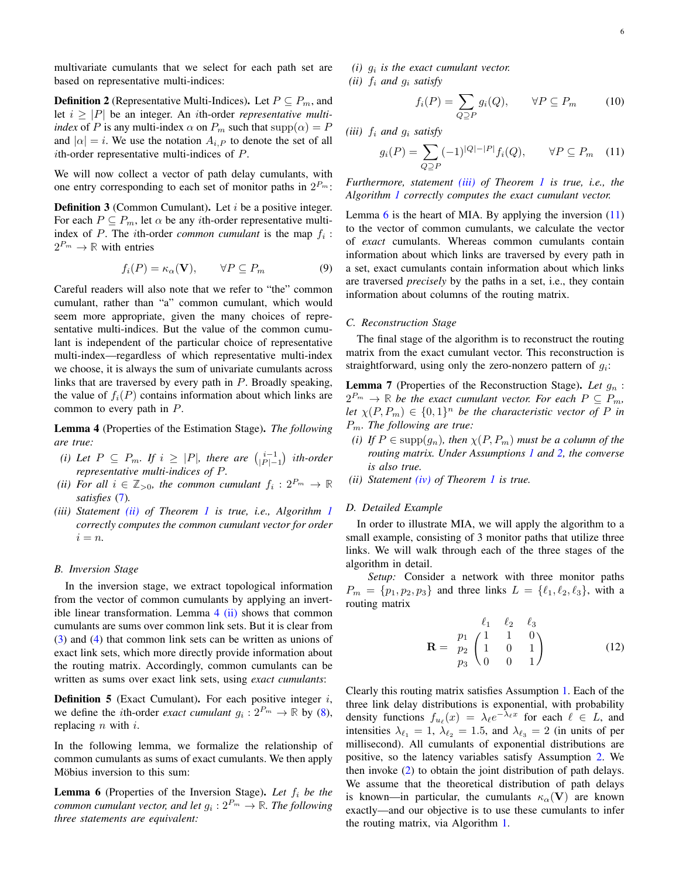multivariate cumulants that we select for each path set are based on representative multi-indices:

**Definition 2** (Representative Multi-Indices). Let  $P \subseteq P_m$ , and let  $i \geq |P|$  be an integer. An *i*th-order *representative multiindex* of P is any multi-index  $\alpha$  on  $P_m$  such that  $supp(\alpha) = P$ and  $|\alpha| = i$ . We use the notation  $A_{i,P}$  to denote the set of all ith-order representative multi-indices of P.

We will now collect a vector of path delay cumulants, with one entry corresponding to each set of monitor paths in  $2^{P_m}$ :

**Definition 3** (Common Cumulant). Let  $i$  be a positive integer. For each  $P \subseteq P_m$ , let  $\alpha$  be any *i*th-order representative multiindex of  $P$ . The *i*th-order *common cumulant* is the map  $f_i$ :  $2^{P_m} \to \mathbb{R}$  with entries

$$
f_i(P) = \kappa_\alpha(\mathbf{V}), \qquad \forall P \subseteq P_m \tag{9}
$$

Careful readers will also note that we refer to "the" common cumulant, rather than "a" common cumulant, which would seem more appropriate, given the many choices of representative multi-indices. But the value of the common cumulant is independent of the particular choice of representative multi-index—regardless of which representative multi-index we choose, it is always the sum of univariate cumulants across links that are traversed by every path in  $P$ . Broadly speaking, the value of  $f_i(P)$  contains information about which links are common to every path in  $P$ .

Lemma 4 (Properties of the Estimation Stage). *The following are true:*

- *(i) Let*  $P \subseteq P_m$ *. If*  $i \ge |P|$ *, there are*  $\binom{i-1}{|P|-1}$  *ith-order representative multi-indices of* P*.*
- (*ii*) For all  $i \in \mathbb{Z}_{>0}$ , the common cumulant  $f_i: 2^{P_m} \to \mathbb{R}$ *satisfies* (7)*.*
- *(iii) Statement (ii) of Theorem 1 is true, i.e., Algorithm 1 correctly computes the common cumulant vector for order*  $i = n$ .

#### *B. Inversion Stage*

In the inversion stage, we extract topological information from the vector of common cumulants by applying an invertible linear transformation. Lemma  $4$  (ii) shows that common cumulants are sums over common link sets. But it is clear from (3) and (4) that common link sets can be written as unions of exact link sets, which more directly provide information about the routing matrix. Accordingly, common cumulants can be written as sums over exact link sets, using *exact cumulants*:

**Definition 5** (Exact Cumulant). For each positive integer  $i$ , we define the *i*th-order *exact cumulant*  $g_i: 2^{P_m} \to \mathbb{R}$  by (8), replacing  $n$  with  $i$ .

In the following lemma, we formalize the relationship of common cumulants as sums of exact cumulants. We then apply Möbius inversion to this sum:

**Lemma 6** (Properties of the Inversion Stage). Let  $f_i$  be the *common cumulant vector, and let*  $g_i: 2^{P_m} \rightarrow \mathbb{R}$ *. The following three statements are equivalent:*

 $(i)$   $g_i$  *is the exact cumulant vector. (ii)*  $f_i$  *and*  $g_i$  *satisfy* 

$$
f_i(P) = \sum_{Q \supseteq P} g_i(Q), \qquad \forall P \subseteq P_m \tag{10}
$$

*(iii)*  $f_i$  *and*  $g_i$  *satisfy* 

$$
g_i(P) = \sum_{Q \supseteq P} (-1)^{|Q| - |P|} f_i(Q), \qquad \forall P \subseteq P_m \quad (11)
$$

*Furthermore, statement (iii) of Theorem 1 is true, i.e., the Algorithm 1 correctly computes the exact cumulant vector.*

Lemma  $6$  is the heart of MIA. By applying the inversion  $(11)$ to the vector of common cumulants, we calculate the vector of *exact* cumulants. Whereas common cumulants contain information about which links are traversed by every path in a set, exact cumulants contain information about which links are traversed *precisely* by the paths in a set, i.e., they contain information about columns of the routing matrix.

#### *C. Reconstruction Stage*

The final stage of the algorithm is to reconstruct the routing matrix from the exact cumulant vector. This reconstruction is straightforward, using only the zero-nonzero pattern of  $g_i$ :

**Lemma 7** (Properties of the Reconstruction Stage). Let  $q_n$ :  $2^{P_m} \rightarrow \mathbb{R}$  *be the exact cumulant vector. For each*  $P \subseteq P_m$ , Let  $\chi(P, P_m) \in \{0, 1\}^n$  be the characteristic vector of P in Pm*. The following are true:*

- *(i) If*  $P \in \text{supp}(q_n)$ *, then*  $\chi(P, P_m)$  *must be a column of the routing matrix. Under Assumptions 1 and 2, the converse is also true.*
- *(ii) Statement (iv) of Theorem 1 is true.*

#### *D. Detailed Example*

In order to illustrate MIA, we will apply the algorithm to a small example, consisting of 3 monitor paths that utilize three links. We will walk through each of the three stages of the algorithm in detail.

*Setup:* Consider a network with three monitor paths  $P_m = \{p_1, p_2, p_3\}$  and three links  $L = \{\ell_1, \ell_2, \ell_3\}$ , with a routing matrix

$$
\mathbf{R} = \begin{array}{cc} \ell_1 & \ell_2 & \ell_3 \\ p_1 & 1 & 0 \\ p_2 & 1 & 0 & 1 \\ p_3 & 0 & 0 & 1 \end{array} \tag{12}
$$

Clearly this routing matrix satisfies Assumption 1. Each of the three link delay distributions is exponential, with probability density functions  $f_{u_\ell}(x) = \lambda_\ell e^{-\lambda_\ell x}$  for each  $\ell \in L$ , and intensities  $\lambda_{\ell_1} = 1$ ,  $\lambda_{\ell_2} = 1.5$ , and  $\lambda_{\ell_3} = 2$  (in units of per millisecond). All cumulants of exponential distributions are positive, so the latency variables satisfy Assumption 2. We then invoke (2) to obtain the joint distribution of path delays. We assume that the theoretical distribution of path delays is known—in particular, the cumulants  $\kappa_{\alpha}(\mathbf{V})$  are known exactly—and our objective is to use these cumulants to infer the routing matrix, via Algorithm 1.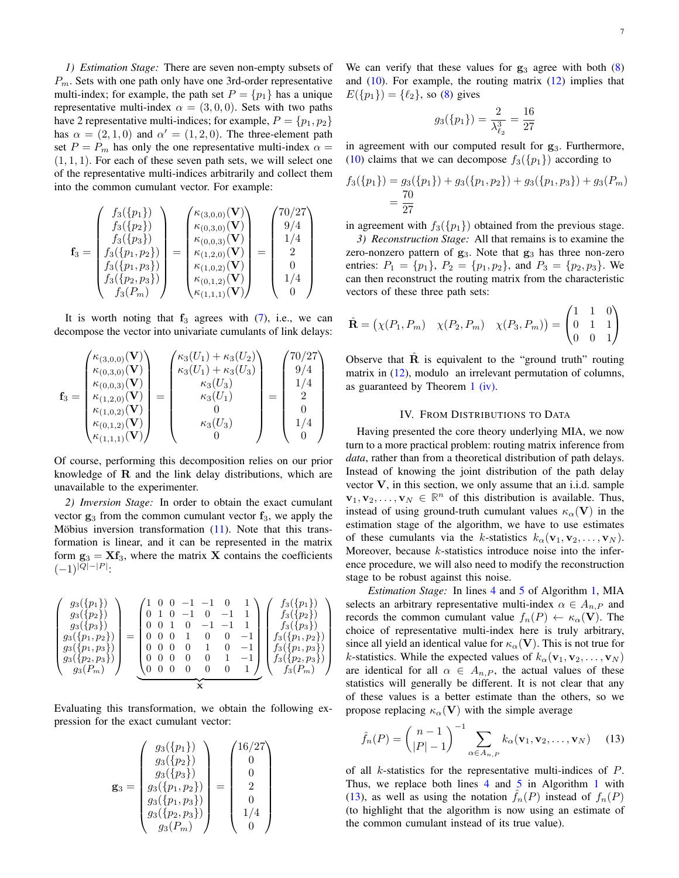*1) Estimation Stage:* There are seven non-empty subsets of  $P_m$ . Sets with one path only have one 3rd-order representative multi-index; for example, the path set  $P = \{p_1\}$  has a unique representative multi-index  $\alpha = (3, 0, 0)$ . Sets with two paths have 2 representative multi-indices; for example,  $P = \{p_1, p_2\}$ has  $\alpha = (2, 1, 0)$  and  $\alpha' = (1, 2, 0)$ . The three-element path set  $P = P_m$  has only the one representative multi-index  $\alpha =$  $(1, 1, 1)$ . For each of these seven path sets, we will select one of the representative multi-indices arbitrarily and collect them into the common cumulant vector. For example:

$$
\mathbf{f}_3 = \begin{pmatrix} f_3(\{p_1\}) \\ f_3(\{p_2\}) \\ f_3(\{p_3\}) \\ f_3(\{p_1, p_2\}) \\ f_3(\{p_1, p_3\}) \\ f_3(\{p_2, p_3\}) \\ f_3(P_m) \end{pmatrix} = \begin{pmatrix} \kappa_{(3,0,0)}(\mathbf{V}) \\ \kappa_{(0,3,0)}(\mathbf{V}) \\ \kappa_{(0,0,3)}(\mathbf{V}) \\ \kappa_{(1,2,0)}(\mathbf{V}) \\ \kappa_{(1,0,2)}(\mathbf{V}) \\ \kappa_{(0,1,2)}(\mathbf{V}) \\ \kappa_{(0,1,1)}(\mathbf{V}) \end{pmatrix} = \begin{pmatrix} 70/27 \\ 9/4 \\ 1/4 \\ 2 \\ 0 \\ 1/4 \\ 0 \end{pmatrix}
$$

It is worth noting that  $f_3$  agrees with  $(7)$ , i.e., we can decompose the vector into univariate cumulants of link delays:

$$
\mathbf{f}_3 = \begin{pmatrix} \kappa_{(3,0,0)}(\mathbf{V}) \\ \kappa_{(0,3,0)}(\mathbf{V}) \\ \kappa_{(0,0,3)}(\mathbf{V}) \\ \kappa_{(1,2,0)}(\mathbf{V}) \\ \kappa_{(1,0,2)}(\mathbf{V}) \\ \kappa_{(0,1,2)}(\mathbf{V}) \\ \kappa_{(1,1,1)}(\mathbf{V}) \end{pmatrix} = \begin{pmatrix} \kappa_3(U_1) + \kappa_3(U_2) \\ \kappa_3(U_1) + \kappa_3(U_3) \\ \kappa_3(U_3) \\ 0 \\ \kappa_3(U_3) \\ 0 \end{pmatrix} = \begin{pmatrix} 70/27 \\ 9/4 \\ 1/4 \\ 2 \\ 0 \\ 1/4 \\ 0 \end{pmatrix}
$$

Of course, performing this decomposition relies on our prior knowledge of  **and the link delay distributions, which are** unavailable to the experimenter.

*2) Inversion Stage:* In order to obtain the exact cumulant vector  $g_3$  from the common cumulant vector  $f_3$ , we apply the Möbius inversion transformation  $(11)$ . Note that this transformation is linear, and it can be represented in the matrix form  $\mathbf{g}_3 = \mathbf{X} \mathbf{f}_3$ , where the matrix **X** contains the coefficients  $(-1)^{|Q|-|P|}$ :

$$
\begin{pmatrix}\ng_3(\{p_1\}) \\
g_3(\{p_2\}) \\
g_3(\{p_3\}) \\
g_3(\{p_1,p_2\}) \\
g_3(\{p_1,p_3\}) \\
g_3(\{p_2,p_3\}) \\
g_3(P_m)\n\end{pmatrix} = \begin{pmatrix}\n1 & 0 & 0 & -1 & -1 & 0 & 1 \\
0 & 1 & 0 & -1 & 0 & -1 & 1 \\
0 & 0 & 1 & 0 & -1 & -1 & 1 \\
0 & 0 & 0 & 1 & 0 & 0 & -1 \\
0 & 0 & 0 & 0 & 1 & 0 & -1 \\
0 & 0 & 0 & 0 & 1 & -1 & 1 \\
0 & 0 & 0 & 0 & 0 & 1 & -1 \\
0 & 0 & 0 & 0 & 0 & 1 & -1 \\
0 & 0 & 0 & 0 & 0 & 1 & -1 \\
0 & 0 & 0 & 0 & 0 & 1 & -1 \\
0 & 0 & 0 & 0 & 0 & 0 & 1\n\end{pmatrix}\n\begin{pmatrix}\nf_3(\{p_1\}) \\
f_3(\{p_2\}) \\
f_3(\{p_3\}) \\
f_3(\{p_1,p_2\}) \\
f_3(\{p_1,p_3\}) \\
f_3(\{p_2,p_3\}) \\
f_3(P_m)\n\end{pmatrix}
$$

Evaluating this transformation, we obtain the following expression for the exact cumulant vector:

$$
\mathbf{g}_3 = \begin{pmatrix} g_3(\{p_1\}) \\ g_3(\{p_2\}) \\ g_3(\{p_3\}) \\ g_3(\{p_1, p_2\}) \\ g_3(\{p_1, p_3\}) \\ g_3(\{p_2, p_3\}) \\ g_3(P_m) \end{pmatrix} = \begin{pmatrix} 16/27 \\ 0 \\ 0 \\ 2 \\ 0 \\ 1/4 \\ 0 \end{pmatrix}
$$

We can verify that these values for  $g_3$  agree with both  $(8)$ and  $(10)$ . For example, the routing matrix  $(12)$  implies that  $E({p_1}) = {\ell_2}$ , so (8) gives

$$
g_3(\{p_1\}) = \frac{2}{\lambda_{\ell_2}^3} = \frac{16}{27}
$$

in agreement with our computed result for  $g_3$ . Furthermore, (10) claims that we can decompose  $f_3({p_1})$  according to

$$
f_3({p_1}) = g_3({p_1}) + g_3({p_1, p_2}) + g_3({p_1, p_3}) + g_3(P_m)
$$
  
= 
$$
\frac{70}{27}
$$

in agreement with  $f_3({p_1})$  obtained from the previous stage.

*3) Reconstruction Stage:* All that remains is to examine the zero-nonzero pattern of  $g_3$ . Note that  $g_3$  has three non-zero entries:  $P_1 = \{p_1\}, P_2 = \{p_1, p_2\}, \text{ and } P_3 = \{p_2, p_3\}.$  We can then reconstruct the routing matrix from the characteristic vectors of these three path sets:

$$
\hat{\mathbf{R}} = (\chi(P_1, P_m) \quad \chi(P_2, P_m) \quad \chi(P_3, P_m)) = \begin{pmatrix} 1 & 1 & 0 \\ 0 & 1 & 1 \\ 0 & 0 & 1 \end{pmatrix}
$$

Observe that  $\hat{\mathbf{R}}$  is equivalent to the "ground truth" routing matrix in  $(12)$ , modulo an irrelevant permutation of columns, as guaranteed by Theorem 1 (iv).

#### IV. FROM DISTRIBUTIONS TO DATA

Having presented the core theory underlying MIA, we now turn to a more practical problem: routing matrix inference from *data*, rather than from a theoretical distribution of path delays. Instead of knowing the joint distribution of the path delay vector  $V$ , in this section, we only assume that an i.i.d. sample  $\mathbf{v}_1, \mathbf{v}_2, \dots, \mathbf{v}_N \in \mathbb{R}^n$  of this distribution is available. Thus, instead of using ground-truth cumulant values  $\kappa_{\alpha}(\mathbf{V})$  in the estimation stage of the algorithm, we have to use estimates of these cumulants via the k-statistics  $k_{\alpha}(\mathbf{v}_1, \mathbf{v}_2, \dots, \mathbf{v}_N)$ . Moreover, because  $k$ -statistics introduce noise into the inference procedure, we will also need to modify the reconstruction stage to be robust against this noise.

*Estimation Stage:* In lines 4 and 5 of Algorithm 1, MIA selects an arbitrary representative multi-index  $\alpha \in A_{n,P}$  and records the common cumulant value  $f_n(P) \leftarrow \kappa_\alpha(\mathbf{V})$ . The choice of representative multi-index here is truly arbitrary, since all yield an identical value for  $\kappa_{\alpha}(\mathbf{V})$ . This is not true for k-statistics. While the expected values of  $k_{\alpha}(\mathbf{v}_1, \mathbf{v}_2, \dots, \mathbf{v}_N)$ are identical for all  $\alpha \in A_{n,P}$ , the actual values of these statistics will generally be different. It is not clear that any of these values is a better estimate than the others, so we propose replacing  $\kappa_{\alpha}(\mathbf{V})$  with the simple average

$$
\hat{f}_n(P) = {n-1 \choose |P|-1}^{-1} \sum_{\alpha \in A_{n,P}} k_{\alpha}(\mathbf{v}_1, \mathbf{v}_2, \dots, \mathbf{v}_N) \quad (13)
$$

of all k-statistics for the representative multi-indices of P. Thus, we replace both lines 4 and 5 in Algorithm 1 with (13), as well as using the notation  $f_n(P)$  instead of  $f_n(P)$ (to highlight that the algorithm is now using an estimate of the common cumulant instead of its true value).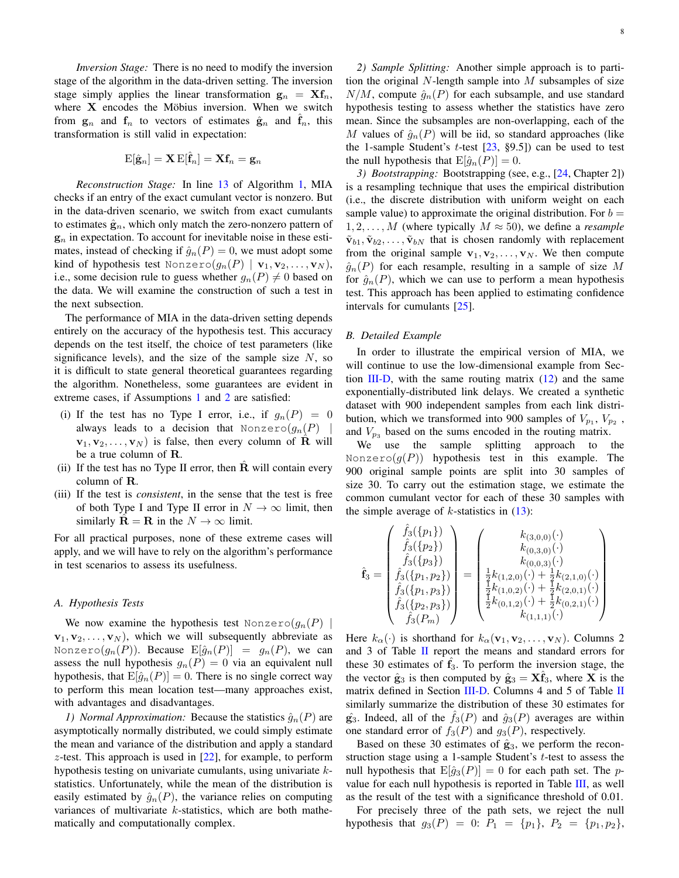*Inversion Stage:* There is no need to modify the inversion stage of the algorithm in the data-driven setting. The inversion stage simply applies the linear transformation  $\mathbf{g}_n = \mathbf{X} \mathbf{f}_n$ , where  $X$  encodes the Möbius inversion. When we switch from  $g_n$  and  $f_n$  to vectors of estimates  $\hat{g}_n$  and  $f_n$ , this transformation is still valid in expectation:

$$
\mathrm{E}[\hat{\mathbf{g}}_n] = \mathbf{X}\,\mathrm{E}[\hat{\mathbf{f}}_n] = \mathbf{X}\mathbf{f}_n = \mathbf{g}_n
$$

*Reconstruction Stage:* In line 13 of Algorithm 1, MIA checks if an entry of the exact cumulant vector is nonzero. But in the data-driven scenario, we switch from exact cumulants to estimates  $\hat{\mathbf{g}}_n$ , which only match the zero-nonzero pattern of  $g_n$  in expectation. To account for inevitable noise in these estimates, instead of checking if  $\hat{g}_n(P) = 0$ , we must adopt some kind of hypothesis test Nonzero $(g_n(P) | \mathbf{v}_1, \mathbf{v}_2, \dots, \mathbf{v}_N)$ , i.e., some decision rule to guess whether  $g_n(P) \neq 0$  based on the data. We will examine the construction of such a test in the next subsection.

The performance of MIA in the data-driven setting depends entirely on the accuracy of the hypothesis test. This accuracy depends on the test itself, the choice of test parameters (like significance levels), and the size of the sample size  $N$ , so it is difficult to state general theoretical guarantees regarding the algorithm. Nonetheless, some guarantees are evident in extreme cases, if Assumptions 1 and 2 are satisfied:

- (i) If the test has no Type I error, i.e., if  $g_n(P) = 0$ always leads to a decision that Nonzero $(g_n(P))$  ${\bf v}_1, {\bf v}_2, \ldots, {\bf v}_N$  is false, then every column of R will be a true column of R.
- (ii) If the test has no Type II error, then  $\overline{R}$  will contain every column of R.
- (iii) If the test is *consistent*, in the sense that the test is free of both Type I and Type II error in  $N \to \infty$  limit, then similarly  $\mathbf{R} = \mathbf{R}$  in the  $N \to \infty$  limit.

For all practical purposes, none of these extreme cases will apply, and we will have to rely on the algorithm's performance in test scenarios to assess its usefulness.

#### *A. Hypothesis Tests*

We now examine the hypothesis test Nonzero $(g_n(P))$  ${\bf v}_1, {\bf v}_2, \ldots, {\bf v}_N$ , which we will subsequently abbreviate as Nonzero $(g_n(P))$ . Because  $\mathrm{E}[\hat{g}_n(P)] = g_n(P)$ , we can assess the null hypothesis  $g_n(P) = 0$  via an equivalent null hypothesis, that  $E[\hat{g}_n(P)] = 0$ . There is no single correct way to perform this mean location test—many approaches exist, with advantages and disadvantages.

*1) Normal Approximation:* Because the statistics  $\hat{g}_n(P)$  are asymptotically normally distributed, we could simply estimate the mean and variance of the distribution and apply a standard z-test. This approach is used in  $[22]$ , for example, to perform hypothesis testing on univariate cumulants, using univariate kstatistics. Unfortunately, while the mean of the distribution is easily estimated by  $\hat{g}_n(P)$ , the variance relies on computing variances of multivariate  $k$ -statistics, which are both mathematically and computationally complex.

*2) Sample Splitting:* Another simple approach is to partition the original  $N$ -length sample into  $M$  subsamples of size  $N/M$ , compute  $\hat{g}_n(P)$  for each subsample, and use standard hypothesis testing to assess whether the statistics have zero mean. Since the subsamples are non-overlapping, each of the M values of  $\hat{g}_n(P)$  will be iid, so standard approaches (like the 1-sample Student's t-test  $[23, §9.5]$  can be used to test the null hypothesis that  $E[\hat{q}_n(P)] = 0$ .

*3) Bootstrapping:* Bootstrapping (see, e.g., [24, Chapter 2]) is a resampling technique that uses the empirical distribution (i.e., the discrete distribution with uniform weight on each sample value) to approximate the original distribution. For  $b =$  $1, 2, \ldots, M$  (where typically  $M \approx 50$ ), we define a *resample*  $\tilde{\mathbf{v}}_{b1}, \tilde{\mathbf{v}}_{b2}, \dots, \tilde{\mathbf{v}}_{bN}$  that is chosen randomly with replacement from the original sample  $v_1, v_2, \ldots, v_N$ . We then compute  $\hat{g}_n(P)$  for each resample, resulting in a sample of size M for  $\hat{g}_n(P)$ , which we can use to perform a mean hypothesis test. This approach has been applied to estimating confidence intervals for cumulants [25].

#### *B. Detailed Example*

In order to illustrate the empirical version of MIA, we will continue to use the low-dimensional example from Section  $III-D$ , with the same routing matrix  $(12)$  and the same exponentially-distributed link delays. We created a synthetic dataset with 900 independent samples from each link distribution, which we transformed into 900 samples of  $V_{p_1}$ ,  $V_{p_2}$ , and  $V_{p_3}$  based on the sums encoded in the routing matrix.

We use the sample splitting approach to the Nonzero $(g(P))$  hypothesis test in this example. The 900 original sample points are split into 30 samples of size 30. To carry out the estimation stage, we estimate the common cumulant vector for each of these 30 samples with the simple average of  $k$ -statistics in  $(13)$ :

$$
\hat{\mathbf{f}}_3 = \begin{pmatrix} \hat{f}_3(\{p_1\}) \\ \hat{f}_3(\{p_2\}) \\ \hat{f}_3(\{p_3\}) \\ \hat{f}_3(\{p_1, p_2\}) \\ \hat{f}_3(\{p_1, p_3\}) \\ \hat{f}_3(\{p_2, p_3\}) \\ \hat{f}_3(P_m) \end{pmatrix} = \begin{pmatrix} k_{(3,0,0)}(\cdot) \\ k_{(0,3,0)}(\cdot) \\ k_{(0,0,3)}(\cdot) \\ \frac{1}{2}k_{(1,2,0)}(\cdot) + \frac{1}{2}k_{(2,1,0)}(\cdot) \\ \frac{1}{2}k_{(1,0,2)}(\cdot) + \frac{1}{2}k_{(2,0,1)}(\cdot) \\ \frac{1}{2}k_{(0,1,2)}(\cdot) + \frac{1}{2}k_{(0,2,1)}(\cdot) \\ k_{(1,1,1)}(\cdot) \end{pmatrix}
$$

Here  $k_{\alpha}(\cdot)$  is shorthand for  $k_{\alpha}(\mathbf{v}_1, \mathbf{v}_2, \dots, \mathbf{v}_N)$ . Columns 2 and 3 of Table II report the means and standard errors for these 30 estimates of  $f_3$ . To perform the inversion stage, the the vector  $\hat{\mathbf{g}}_3$  is then computed by  $\hat{\mathbf{g}}_3 = \mathbf{X} \mathbf{f}_3$ , where X is the matrix defined in Section III-D. Columns 4 and 5 of Table II similarly summarize the distribution of these 30 estimates for  $\hat{\mathbf{g}}_3$ . Indeed, all of the  $f_3(P)$  and  $\hat{g}_3(P)$  averages are within one standard error of  $f_3(P)$  and  $g_3(P)$ , respectively.

Based on these 30 estimates of  $\hat{\mathbf{g}}_3$ , we perform the reconstruction stage using a 1-sample Student's  $t$ -test to assess the null hypothesis that  $E[\hat{g}_3(P)] = 0$  for each path set. The pvalue for each null hypothesis is reported in Table III, as well as the result of the test with a significance threshold of 0.01.

For precisely three of the path sets, we reject the null hypothesis that  $g_3(P) = 0$ :  $P_1 = \{p_1\}, P_2 = \{p_1, p_2\},\$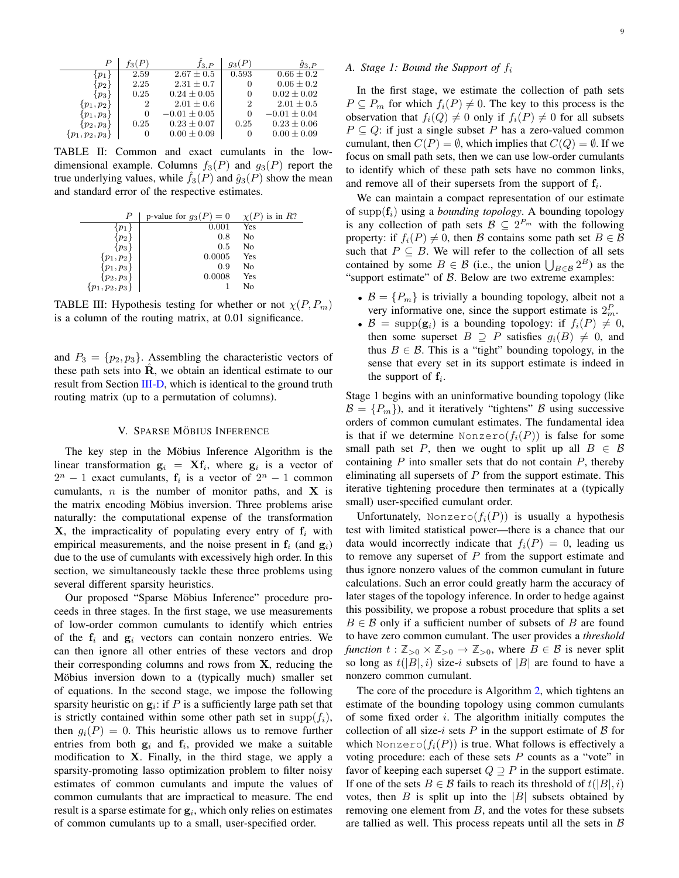|                     | T3 (         | 13. P            | $g_3(P)$ | $\hat{g}_{3,P}$  |
|---------------------|--------------|------------------|----------|------------------|
|                     | 2.59         | $2.67 \pm 0.5$   | 0.593    | $0.66 \pm 0.2$   |
| $p_2$               | 2.25         | $2.31 \pm 0.7$   | O        | $0.06 \pm 0.2$   |
| $\{p_3\}$           | 0.25         | $0.24 \pm 0.05$  | 0        | $0.02 \pm 0.02$  |
| $\{p_1, p_2\}$      | 2            | $2.01 \pm 0.6$   | 2        | $2.01 \pm 0.5$   |
| $\{p_1,p_3\}$       | $\mathbf{0}$ | $-0.01 \pm 0.05$ | 0        | $-0.01 \pm 0.04$ |
| $\{p_2, p_3\}$      | 0.25         | $0.23 \pm 0.07$  | 0.25     | $0.23 \pm 0.06$  |
| $\{p_1, p_2, p_3\}$ | $\cup$       | $0.00 \pm 0.09$  | O        | $0.00 \pm 0.09$  |

TABLE II: Common and exact cumulants in the lowdimensional example. Columns  $f_3(P)$  and  $g_3(P)$  report the true underlying values, while  $f_3(P)$  and  $\hat{q}_3(P)$  show the mean and standard error of the respective estimates.

|                     | p-value for $g_3(P) = 0$ | is in $R$ ?<br>$\chi$ ( $P$ |
|---------------------|--------------------------|-----------------------------|
|                     | 0.001                    | Yes                         |
| $p_2$               | 0.8                      | No                          |
| $p_3$               | 0.5                      | No                          |
| $\{p_1, p_2\}$      | 0.0005                   | Yes                         |
| $\{p_1, p_3\}$      | 0.9                      | No                          |
| $\{p_2,p_3\}$       | 0.0008                   | Yes                         |
| $\{p_1, p_2, p_3\}$ |                          | No                          |

TABLE III: Hypothesis testing for whether or not  $\chi(P, P_m)$ is a column of the routing matrix, at 0.01 significance.

and  $P_3 = \{p_2, p_3\}$ . Assembling the characteristic vectors of these path sets into  $\hat{\mathbf{R}}$ , we obtain an identical estimate to our result from Section III-D, which is identical to the ground truth routing matrix (up to a permutation of columns).

#### V. SPARSE MÖBIUS INFERENCE

The key step in the Möbius Inference Algorithm is the linear transformation  $\mathbf{g}_i = \mathbf{X} \mathbf{f}_i$ , where  $\mathbf{g}_i$  is a vector of  $2^n - 1$  exact cumulants,  $f_i$  is a vector of  $2^n - 1$  common cumulants,  $n$  is the number of monitor paths, and **X** is the matrix encoding Möbius inversion. Three problems arise naturally: the computational expense of the transformation  $X$ , the impracticality of populating every entry of  $f_i$  with empirical measurements, and the noise present in  $f_i$  (and  $g_i$ ) due to the use of cumulants with excessively high order. In this section, we simultaneously tackle these three problems using several different sparsity heuristics.

Our proposed "Sparse Möbius Inference" procedure proceeds in three stages. In the first stage, we use measurements of low-order common cumulants to identify which entries of the  $f_i$  and  $g_i$  vectors can contain nonzero entries. We can then ignore all other entries of these vectors and drop their corresponding columns and rows from  $X$ , reducing the Möbius inversion down to a (typically much) smaller set of equations. In the second stage, we impose the following sparsity heuristic on  $g_i$ : if P is a sufficiently large path set that is strictly contained within some other path set in supp $(f_i)$ , then  $g_i(P) = 0$ . This heuristic allows us to remove further entries from both  $g_i$  and  $f_i$ , provided we make a suitable modification to  $X$ . Finally, in the third stage, we apply a sparsity-promoting lasso optimization problem to filter noisy estimates of common cumulants and impute the values of common cumulants that are impractical to measure. The end result is a sparse estimate for  $g_i$ , which only relies on estimates of common cumulants up to a small, user-specified order.

#### *A. Stage 1: Bound the Support of* f<sup>i</sup>

In the first stage, we estimate the collection of path sets  $P \subseteq P_m$  for which  $f_i(P) \neq 0$ . The key to this process is the observation that  $f_i(Q) \neq 0$  only if  $f_i(P) \neq 0$  for all subsets  $P \subseteq Q$ : if just a single subset P has a zero-valued common cumulant, then  $C(P) = \emptyset$ , which implies that  $C(Q) = \emptyset$ . If we focus on small path sets, then we can use low-order cumulants to identify which of these path sets have no common links, and remove all of their supersets from the support of  $f_i$ .

We can maintain a compact representation of our estimate of supp $(f_i)$  using a *bounding topology*. A bounding topology is any collection of path sets  $\mathcal{B} \subseteq 2^{P_m}$  with the following property: if  $f_i(P) \neq 0$ , then B contains some path set  $B \in \mathcal{B}$ such that  $P \subseteq B$ . We will refer to the collection of all sets contained by some  $B \in \mathcal{B}$  (i.e., the union  $\bigcup_{B \in \mathcal{B}} 2^B$ ) as the "support estimate" of  $\beta$ . Below are two extreme examples:

- $\mathcal{B} = \{P_m\}$  is trivially a bounding topology, albeit not a very informative one, since the support estimate is  $2_m^P$ .
- $\mathcal{B} = \text{supp}(\mathbf{g}_i)$  is a bounding topology: if  $f_i(P) \neq 0$ , then some superset  $B \supset P$  satisfies  $q_i(B) \neq 0$ , and thus  $B \in \mathcal{B}$ . This is a "tight" bounding topology, in the sense that every set in its support estimate is indeed in the support of  $f_i$ .

Stage 1 begins with an uninformative bounding topology (like  $\mathcal{B} = \{P_m\}$ , and it iteratively "tightens"  $\mathcal{B}$  using successive orders of common cumulant estimates. The fundamental idea is that if we determine Nonzero $(f_i(P))$  is false for some small path set P, then we ought to split up all  $B \in \mathcal{B}$ containing  $P$  into smaller sets that do not contain  $P$ , thereby eliminating all supersets of  $P$  from the support estimate. This iterative tightening procedure then terminates at a (typically small) user-specified cumulant order.

Unfortunately, Nonzero $(f_i(P))$  is usually a hypothesis test with limited statistical power—there is a chance that our data would incorrectly indicate that  $f_i(P) = 0$ , leading us to remove any superset of  $P$  from the support estimate and thus ignore nonzero values of the common cumulant in future calculations. Such an error could greatly harm the accuracy of later stages of the topology inference. In order to hedge against this possibility, we propose a robust procedure that splits a set  $B \in \mathcal{B}$  only if a sufficient number of subsets of B are found to have zero common cumulant. The user provides a *threshold function*  $t : \mathbb{Z}_{>0} \times \mathbb{Z}_{>0} \to \mathbb{Z}_{>0}$ , where  $B \in \mathcal{B}$  is never split so long as  $t(|B|, i)$  size-i subsets of  $|B|$  are found to have a nonzero common cumulant.

The core of the procedure is Algorithm 2, which tightens an estimate of the bounding topology using common cumulants of some fixed order  $i$ . The algorithm initially computes the collection of all size-i sets  $P$  in the support estimate of  $B$  for which Nonzero $(f_i(P))$  is true. What follows is effectively a voting procedure: each of these sets  $P$  counts as a "vote" in favor of keeping each superset  $Q \supseteq P$  in the support estimate. If one of the sets  $B \in \mathcal{B}$  fails to reach its threshold of  $t(|B|, i)$ votes, then  $B$  is split up into the  $|B|$  subsets obtained by removing one element from  $B$ , and the votes for these subsets are tallied as well. This process repeats until all the sets in  $\beta$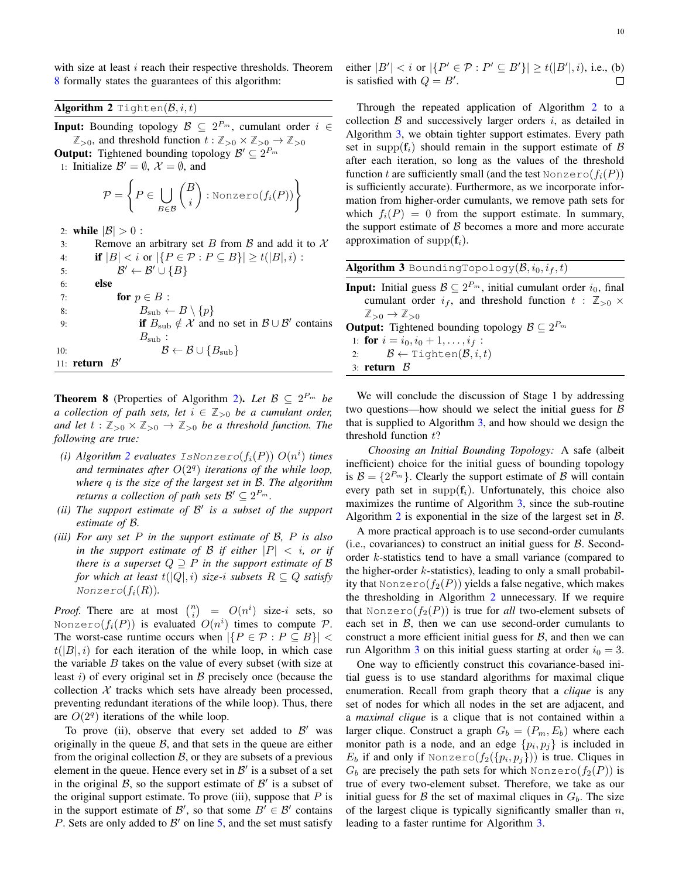with size at least  $i$  reach their respective thresholds. Theorem 8 formally states the guarantees of this algorithm:

Algorithm 2 Tighten $(\mathcal{B}, i, t)$ 

**Input:** Bounding topology  $\mathcal{B} \subseteq 2^{P_m}$ , cumulant order  $i \in$  $\mathbb{Z}_{>0}$ , and threshold function  $t : \mathbb{Z}_{>0} \times \mathbb{Z}_{>0} \to \mathbb{Z}_{>0}$ 

**Output:** Tightened bounding topology  $\mathcal{B}' \subseteq 2^{P_m}$ 

1: Initialize  $\mathcal{B}' = \emptyset$ ,  $\mathcal{X} = \emptyset$ , and

$$
\mathcal{P} = \left\{ P \in \bigcup_{B \in \mathcal{B}} \binom{B}{i} : \text{Nonzero}(f_i(P)) \right\}
$$

2: **while**  $|\mathcal{B}| > 0$  :<br>3: **Remove an** 3: Remove an arbitrary set B from B and add it to X<br>4: **if**  $|B| < i$  or  $|\{P \in \mathcal{P} : P \subseteq B\}| > t(|B|, i)$ : **if**  $|B| < i$  or  $|\{P \in \mathcal{P} : P \subseteq B\}| \ge t(|B|, i)$ : 5:  $\beta$  $\mathcal{B}' \leftarrow \mathcal{B}' \cup \{B\}$ 6: else 7: **for**  $p \in B$  :<br>8:  $B_{\text{sub}} \leftarrow$ 8:  $B_{\text{sub}} \leftarrow B \setminus \{p\}$ <br>9: **if**  $B_{\text{sub}} \notin \mathcal{X}$  and 9: **if**  $B_{\text{sub}} \notin \mathcal{X}$  and no set in  $\mathcal{B} \cup \mathcal{B}'$  contains  $B_{\rm sub}$  : 10:  $\mathcal{B} \leftarrow \mathcal{B} \cup \{B_{\text{sub}}\}$ 11: **return**  $\mathcal{B}'$ 

**Theorem 8** (Properties of Algorithm 2). Let  $\mathcal{B} \subseteq 2^{P_m}$  be *a* collection of path sets, let  $i \in \mathbb{Z}_{>0}$  be a cumulant order, *and let*  $t : \mathbb{Z}_{>0} \times \mathbb{Z}_{>0} \rightarrow \mathbb{Z}_{>0}$  *be a threshold function. The following are true:*

- *(i)*  $Algorithm\ 2\ evaluates\ ISNonzero(f_i(P))\ O(n^i)$  times and terminates after  $O(2<sup>q</sup>)$  *iterations of the while loop*, *where* q *is the size of the largest set in* B*. The algorithm returns a collection of path sets*  $\mathcal{B}' \subseteq 2^{P_m}$ .
- *(ii) The support estimate of* B 0 *is a subset of the support estimate of* B*.*
- *(iii) For any set* P *in the support estimate of* B*,* P *is also in the support estimate of B if either*  $|P| < i$ , *or if there is a superset*  $Q \supseteq P$  *in the support estimate of*  $\beta$ *for which at least*  $t(|Q|, i)$  *size-i subsets*  $R \subseteq Q$  *satisfy*  $Nonzero(f_i(R))$ *.*

*Proof.* There are at most  $\binom{n}{i} = O(n^i)$  size-i sets, so Nonzero $(f_i(P))$  is evaluated  $O(n^i)$  times to compute  $P$ . The worst-case runtime occurs when  $|\{P \in \mathcal{P} : P \subseteq B\}|$  $t(|B|, i)$  for each iteration of the while loop, in which case the variable  $B$  takes on the value of every subset (with size at least  $i$ ) of every original set in  $B$  precisely once (because the collection  $X$  tracks which sets have already been processed, preventing redundant iterations of the while loop). Thus, there are  $O(2<sup>q</sup>)$  iterations of the while loop.

To prove (ii), observe that every set added to  $\mathcal{B}'$  was originally in the queue  $\beta$ , and that sets in the queue are either from the original collection  $\beta$ , or they are subsets of a previous element in the queue. Hence every set in  $\mathcal{B}'$  is a subset of a set in the original  $\mathcal{B}$ , so the support estimate of  $\mathcal{B}'$  is a subset of the original support estimate. To prove (iii), suppose that  $P$  is in the support estimate of  $\mathcal{B}'$ , so that some  $B' \in \mathcal{B}'$  contains P. Sets are only added to  $\mathcal{B}'$  on line 5, and the set must satisfy either  $|B'| < i$  or  $|\{P' \in \mathcal{P} : P' \subseteq B'\}| \ge t(|B'|, i)$ , i.e., (b) is satisfied with  $Q = B'$ .

Through the repeated application of Algorithm 2 to a collection  $B$  and successively larger orders  $i$ , as detailed in Algorithm 3, we obtain tighter support estimates. Every path set in supp $(f_i)$  should remain in the support estimate of B after each iteration, so long as the values of the threshold function t are sufficiently small (and the test Nonzero( $f_i(P)$ ) is sufficiently accurate). Furthermore, as we incorporate information from higher-order cumulants, we remove path sets for which  $f_i(P) = 0$  from the support estimate. In summary, the support estimate of  $\beta$  becomes a more and more accurate approximation of supp $(f_i)$ .

| <b>Algorithm 3</b> BoundingTopology $(\mathcal{B}, i_0, i_f, t)$                                   |  |
|----------------------------------------------------------------------------------------------------|--|
| <b>Input:</b> Initial guess $\mathcal{B} \subseteq 2^{P_m}$ , initial cumulant order $i_0$ , final |  |
| cumulant order $i_f$ , and threshold function $t : \mathbb{Z}_{>0} \times$                         |  |
| $\mathbb{Z}_{>0} \to \mathbb{Z}_{>0}$                                                              |  |
| <b>Output:</b> Tightened bounding topology $\mathcal{B} \subseteq 2^{P_m}$                         |  |
| 1: for $i = i_0, i_0 + 1, \ldots, i_f$ :                                                           |  |
| 2: $\mathcal{B} \leftarrow \text{Tighten}(\mathcal{B}, i, t)$                                      |  |
| 3: return $\beta$                                                                                  |  |

We will conclude the discussion of Stage 1 by addressing two questions—how should we select the initial guess for  $\beta$ that is supplied to Algorithm 3, and how should we design the threshold function  $t$ ?

*Choosing an Initial Bounding Topology:* A safe (albeit inefficient) choice for the initial guess of bounding topology is  $B = \{2^{P_m}\}\.$  Clearly the support estimate of B will contain every path set in supp $(f_i)$ . Unfortunately, this choice also maximizes the runtime of Algorithm 3, since the sub-routine Algorithm 2 is exponential in the size of the largest set in  $\beta$ .

A more practical approach is to use second-order cumulants  $(i.e., covariances)$  to construct an initial guess for  $\beta$ . Secondorder k-statistics tend to have a small variance (compared to the higher-order  $k$ -statistics), leading to only a small probability that Nonzero( $f_2(P)$ ) yields a false negative, which makes the thresholding in Algorithm 2 unnecessary. If we require that Nonzero $(f_2(P))$  is true for *all* two-element subsets of each set in  $\beta$ , then we can use second-order cumulants to construct a more efficient initial guess for  $B$ , and then we can run Algorithm 3 on this initial guess starting at order  $i_0 = 3$ .

One way to efficiently construct this covariance-based initial guess is to use standard algorithms for maximal clique enumeration. Recall from graph theory that a *clique* is any set of nodes for which all nodes in the set are adjacent, and a *maximal clique* is a clique that is not contained within a larger clique. Construct a graph  $G_b = (P_m, E_b)$  where each monitor path is a node, and an edge  $\{p_i, p_j\}$  is included in  $E_b$  if and only if Nonzero $(f_2({p_i, p_j}))$  is true. Cliques in  $G_b$  are precisely the path sets for which Nonzero( $f_2(P)$ ) is true of every two-element subset. Therefore, we take as our initial guess for  $\beta$  the set of maximal cliques in  $G_b$ . The size of the largest clique is typically significantly smaller than  $n$ , leading to a faster runtime for Algorithm 3.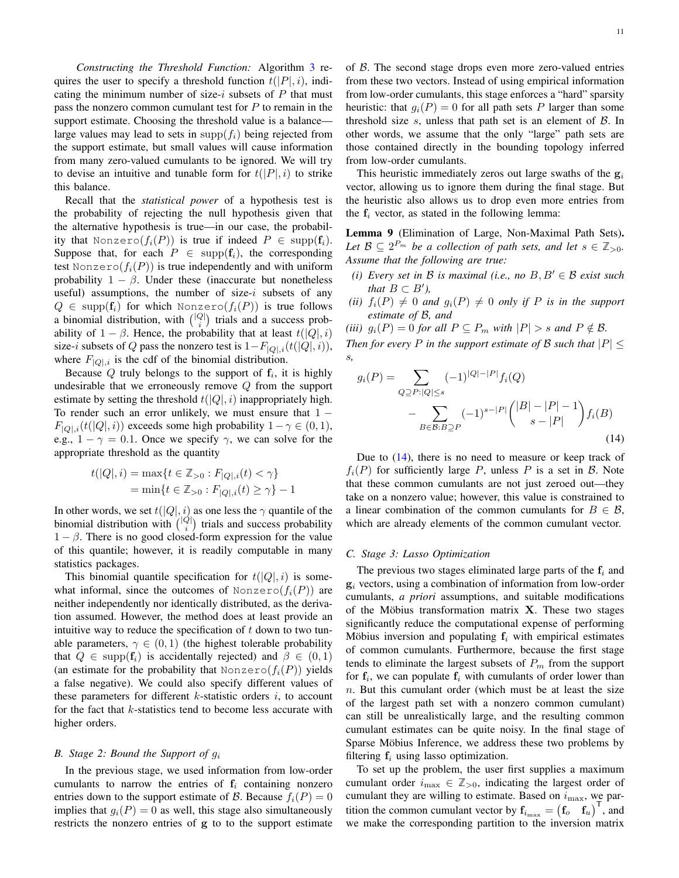*Constructing the Threshold Function:* Algorithm 3 requires the user to specify a threshold function  $t(|P|, i)$ , indicating the minimum number of size-i subsets of  $P$  that must pass the nonzero common cumulant test for  $P$  to remain in the support estimate. Choosing the threshold value is a balance large values may lead to sets in supp $(f_i)$  being rejected from the support estimate, but small values will cause information from many zero-valued cumulants to be ignored. We will try to devise an intuitive and tunable form for  $t(|P|, i)$  to strike this balance.

Recall that the *statistical power* of a hypothesis test is the probability of rejecting the null hypothesis given that the alternative hypothesis is true—in our case, the probability that Nonzero $(f_i(P))$  is true if indeed  $P \in \text{supp}(\mathbf{f}_i)$ . Suppose that, for each  $P \in \text{supp}(\mathbf{f}_i)$ , the corresponding test Nonzero $(f_i(P))$  is true independently and with uniform probability  $1 - \beta$ . Under these (inaccurate but nonetheless useful) assumptions, the number of size- $i$  subsets of any  $Q \in \text{supp}(\mathbf{f}_i)$  for which Nonzero $(f_i(P))$  is true follows a binomial distribution, with  $\binom{|Q|}{i}$  trials and a success probability of  $1 - \beta$ . Hence, the probability that at least  $t(|Q|, i)$ size-i subsets of Q pass the nonzero test is  $1-F_{|Q|,i}(t(|Q|,i)),$ where  $F_{|Q|,i}$  is the cdf of the binomial distribution.

Because  $Q$  truly belongs to the support of  $f_i$ , it is highly undesirable that we erroneously remove  $Q$  from the support estimate by setting the threshold  $t(|Q|, i)$  inappropriately high. To render such an error unlikely, we must ensure that  $1 F_{|Q|,i}(t(|Q|,i))$  exceeds some high probability  $1-\gamma \in (0,1)$ , e.g.,  $1 - \gamma = 0.1$ . Once we specify  $\gamma$ , we can solve for the appropriate threshold as the quantity

$$
t(|Q|, i) = \max\{t \in \mathbb{Z}_{>0} : F_{|Q|, i}(t) < \gamma\}
$$
\n
$$
= \min\{t \in \mathbb{Z}_{>0} : F_{|Q|, i}(t) \ge \gamma\} - 1
$$

In other words, we set  $t(|Q|, i)$  as one less the  $\gamma$  quantile of the binomial distribution with  $\binom{|Q|}{i}$  trials and success probability  $1 - \beta$ . There is no good closed-form expression for the value of this quantile; however, it is readily computable in many statistics packages.

This binomial quantile specification for  $t(|Q|, i)$  is somewhat informal, since the outcomes of Nonzero $(f_i(P))$  are neither independently nor identically distributed, as the derivation assumed. However, the method does at least provide an intuitive way to reduce the specification of  $t$  down to two tunable parameters,  $\gamma \in (0,1)$  (the highest tolerable probability that  $Q \in \text{supp}(\mathbf{f}_i)$  is accidentally rejected) and  $\beta \in (0,1)$ (an estimate for the probability that Nonzero( $f_i(P)$ ) yields a false negative). We could also specify different values of these parameters for different  $k$ -statistic orders  $i$ , to account for the fact that k-statistics tend to become less accurate with higher orders.

#### *B. Stage 2: Bound the Support of* g<sup>i</sup>

In the previous stage, we used information from low-order cumulants to narrow the entries of  $f_i$  containing nonzero entries down to the support estimate of B. Because  $f_i(P) = 0$ implies that  $q_i(P) = 0$  as well, this stage also simultaneously restricts the nonzero entries of g to to the support estimate of  $B$ . The second stage drops even more zero-valued entries from these two vectors. Instead of using empirical information from low-order cumulants, this stage enforces a "hard" sparsity heuristic: that  $g_i(P) = 0$  for all path sets P larger than some threshold size  $s$ , unless that path set is an element of  $\beta$ . In other words, we assume that the only "large" path sets are those contained directly in the bounding topology inferred from low-order cumulants.

This heuristic immediately zeros out large swaths of the  $g_i$ vector, allowing us to ignore them during the final stage. But the heuristic also allows us to drop even more entries from the  $f_i$  vector, as stated in the following lemma:

Lemma 9 (Elimination of Large, Non-Maximal Path Sets). Let  $\mathcal{B} \subseteq 2^{P_m}$  be a collection of path sets, and let  $s \in \mathbb{Z}_{>0}$ . *Assume that the following are true:*

- *(i) Every set in*  $B$  *is maximal (i.e., no*  $B, B' \in B$  *exist such that*  $B \subset B'$ *)*,
- *(ii)*  $f_i(P) \neq 0$  *and*  $g_i(P) \neq 0$  *only if* P *is in the support estimate of* B*, and*
- *(iii)*  $g_i(P) = 0$  *for all*  $P \subseteq P_m$  *with*  $|P| > s$  *and*  $P \notin \mathcal{B}$ *.*

*Then for every* P *in the support estimate of* B *such that*  $|P| \leq$ s*,*

$$
g_i(P) = \sum_{Q \supseteq P : |Q| \le s} (-1)^{|Q| - |P|} f_i(Q)
$$

$$
- \sum_{B \in \mathcal{B}: B \supseteq P} (-1)^{s - |P|} { |B| - |P| - 1 \choose s - |P|} f_i(B)
$$
(14)

Due to (14), there is no need to measure or keep track of  $f_i(P)$  for sufficiently large P, unless P is a set in B. Note that these common cumulants are not just zeroed out—they take on a nonzero value; however, this value is constrained to a linear combination of the common cumulants for  $B \in \mathcal{B}$ , which are already elements of the common cumulant vector.

#### *C. Stage 3: Lasso Optimization*

The previous two stages eliminated large parts of the  $f_i$  and  $g_i$  vectors, using a combination of information from low-order cumulants, *a priori* assumptions, and suitable modifications of the Möbius transformation matrix  $X$ . These two stages significantly reduce the computational expense of performing Möbius inversion and populating  $f_i$  with empirical estimates of common cumulants. Furthermore, because the first stage tends to eliminate the largest subsets of  $P_m$  from the support for  $f_i$ , we can populate  $f_i$  with cumulants of order lower than  $n$ . But this cumulant order (which must be at least the size of the largest path set with a nonzero common cumulant) can still be unrealistically large, and the resulting common cumulant estimates can be quite noisy. In the final stage of Sparse Möbius Inference, we address these two problems by filtering  $f_i$  using lasso optimization.

To set up the problem, the user first supplies a maximum cumulant order  $i_{\text{max}} \in \mathbb{Z}_{>0}$ , indicating the largest order of cumulant they are willing to estimate. Based on  $i_{\text{max}}$ , we partition the common cumulant vector by  $f_{i_{\text{max}}} = (f_o \quad f_u)^{\top}$ , and we make the corresponding partition to the inversion matrix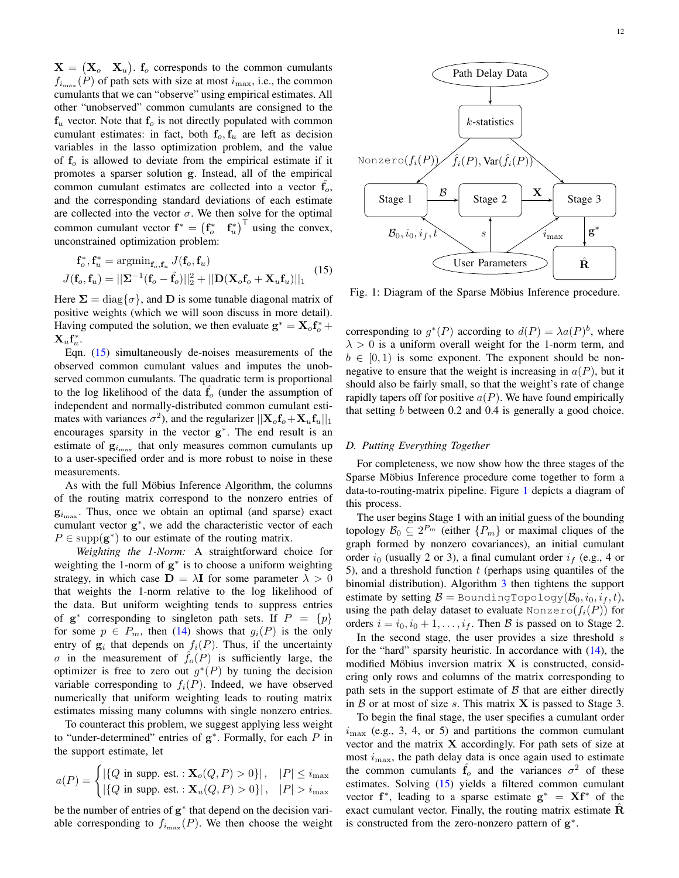$X = (X_o \ X_u)$ .  $f_o$  corresponds to the common cumulants  $f_{i_{\text{max}}}(P)$  of path sets with size at most  $i_{\text{max}}$ , i.e., the common cumulants that we can "observe" using empirical estimates. All other "unobserved" common cumulants are consigned to the  $f_u$  vector. Note that  $f_o$  is not directly populated with common cumulant estimates: in fact, both  $f_o, f_u$  are left as decision variables in the lasso optimization problem, and the value of  $f<sub>o</sub>$  is allowed to deviate from the empirical estimate if it promotes a sparser solution g. Instead, all of the empirical common cumulant estimates are collected into a vector  $f_0$ , and the corresponding standard deviations of each estimate are collected into the vector  $\sigma$ . We then solve for the optimal common cumulant vector  $f^* = (f_o^* \t f_u^*)^T$  using the convex, unconstrained optimization problem:

$$
\mathbf{f}_o^*, \mathbf{f}_u^* = \operatorname{argmin}_{\mathbf{f}_o, \mathbf{f}_u} J(\mathbf{f}_o, \mathbf{f}_u)
$$
  

$$
J(\mathbf{f}_o, \mathbf{f}_u) = ||\mathbf{\Sigma}^{-1}(\mathbf{f}_o - \hat{\mathbf{f}}_o)||_2^2 + ||\mathbf{D}(\mathbf{X}_o \mathbf{f}_o + \mathbf{X}_u \mathbf{f}_u)||_1
$$
(15)

Here  $\Sigma = \text{diag}\{\sigma\}$ , and D is some tunable diagonal matrix of positive weights (which we will soon discuss in more detail). Having computed the solution, we then evaluate  $\mathbf{g}^* = \mathbf{X}_o \mathbf{f}_o^* + \mathbf{f}_o$  $\mathbf{X}_u \mathbf{f}_u^*$ .

Eqn. (15) simultaneously de-noises measurements of the observed common cumulant values and imputes the unobserved common cumulants. The quadratic term is proportional to the log likelihood of the data  $f<sub>o</sub>$  (under the assumption of independent and normally-distributed common cumulant estimates with variances  $\sigma^2$ ), and the regularizer  $||\mathbf{X}_o \mathbf{f}_o + \mathbf{X}_u \mathbf{f}_u||_1$ encourages sparsity in the vector  $g^*$ . The end result is an estimate of  $g_{i_{\text{max}}}$  that only measures common cumulants up to a user-specified order and is more robust to noise in these measurements.

As with the full Möbius Inference Algorithm, the columns of the routing matrix correspond to the nonzero entries of  $\mathbf{g}_{i_{\text{max}}}$ . Thus, once we obtain an optimal (and sparse) exact cumulant vector g ∗ , we add the characteristic vector of each  $P \in \text{supp}(\mathbf{g}^*)$  to our estimate of the routing matrix.

*Weighting the 1-Norm:* A straightforward choice for weighting the 1-norm of  $g^*$  is to choose a uniform weighting strategy, in which case  $\mathbf{D} = \lambda \mathbf{I}$  for some parameter  $\lambda > 0$ that weights the 1-norm relative to the log likelihood of the data. But uniform weighting tends to suppress entries of  $g^*$  corresponding to singleton path sets. If  $P = \{p\}$ for some  $p \in P_m$ , then (14) shows that  $g_i(P)$  is the only entry of  $g_i$  that depends on  $f_i(P)$ . Thus, if the uncertainty  $\sigma$  in the measurement of  $f_o(P)$  is sufficiently large, the optimizer is free to zero out  $g^*(P)$  by tuning the decision variable corresponding to  $f_i(P)$ . Indeed, we have observed numerically that uniform weighting leads to routing matrix estimates missing many columns with single nonzero entries.

To counteract this problem, we suggest applying less weight to "under-determined" entries of  $g^*$ . Formally, for each  $P$  in the support estimate, let

$$
a(P)=\begin{cases} \left|\{Q \text{ in } \text{supp. est.}: \mathbf{X}_o(Q,P)>0\}\right|, & |P|\leq i_{\max}\\ \left|\{Q \text{ in } \text{supp. est.}: \mathbf{X}_u(Q,P)>0\}\right|, & |P|>i_{\max} \end{cases}
$$

be the number of entries of g<sup>∗</sup> that depend on the decision variable corresponding to  $f_{i_{\text{max}}}(P)$ . We then choose the weight



Fig. 1: Diagram of the Sparse Möbius Inference procedure.

corresponding to  $g^*(P)$  according to  $d(P) = \lambda a(P)^b$ , where  $\lambda > 0$  is a uniform overall weight for the 1-norm term, and  $b \in [0, 1)$  is some exponent. The exponent should be nonnegative to ensure that the weight is increasing in  $a(P)$ , but it should also be fairly small, so that the weight's rate of change rapidly tapers off for positive  $a(P)$ . We have found empirically that setting b between 0.2 and 0.4 is generally a good choice.

#### *D. Putting Everything Together*

For completeness, we now show how the three stages of the Sparse Möbius Inference procedure come together to form a data-to-routing-matrix pipeline. Figure 1 depicts a diagram of this process.

The user begins Stage 1 with an initial guess of the bounding topology  $\mathcal{B}_0 \subseteq 2^{P_m}$  (either  $\{P_m\}$  or maximal cliques of the graph formed by nonzero covariances), an initial cumulant order  $i_0$  (usually 2 or 3), a final cumulant order  $i_f$  (e.g., 4 or 5), and a threshold function  $t$  (perhaps using quantiles of the binomial distribution). Algorithm 3 then tightens the support estimate by setting  $\mathcal{B} =$  BoundingTopology( $\mathcal{B}_0, i_0, i_f, t$ ), using the path delay dataset to evaluate Nonzero( $f_i(P)$ ) for orders  $i = i_0, i_0 + 1, \ldots, i_f$ . Then B is passed on to Stage 2.

In the second stage, the user provides a size threshold s for the "hard" sparsity heuristic. In accordance with (14), the modified Möbius inversion matrix  $X$  is constructed, considering only rows and columns of the matrix corresponding to path sets in the support estimate of  $\beta$  that are either directly in  $\beta$  or at most of size s. This matrix **X** is passed to Stage 3.

To begin the final stage, the user specifies a cumulant order  $i_{\text{max}}$  (e.g., 3, 4, or 5) and partitions the common cumulant vector and the matrix X accordingly. For path sets of size at most  $i_{\text{max}}$ , the path delay data is once again used to estimate the common cumulants  $\hat{f}_o$  and the variances  $\sigma^2$  of these estimates. Solving  $(15)$  yields a filtered common cumulant vector  $f^*$ , leading to a sparse estimate  $g^* = Xf^*$  of the exact cumulant vector. Finally, the routing matrix estimate  $\hat{\mathbf{R}}$ is constructed from the zero-nonzero pattern of  $g^*$ .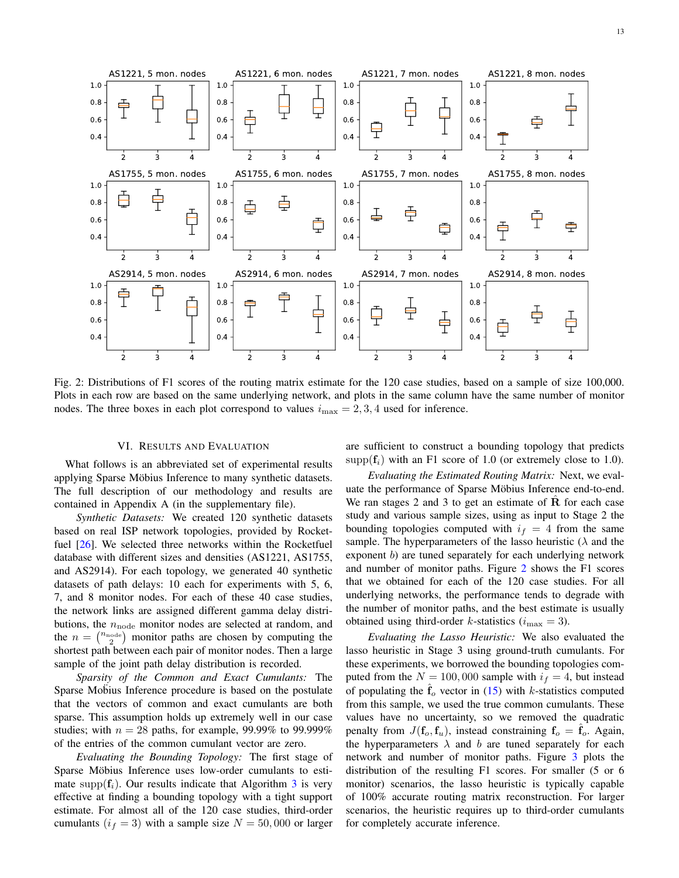

Fig. 2: Distributions of F1 scores of the routing matrix estimate for the 120 case studies, based on a sample of size 100,000. Plots in each row are based on the same underlying network, and plots in the same column have the same number of monitor nodes. The three boxes in each plot correspond to values  $i_{\text{max}} = 2, 3, 4$  used for inference.

#### VI. RESULTS AND EVALUATION

What follows is an abbreviated set of experimental results applying Sparse Möbius Inference to many synthetic datasets. The full description of our methodology and results are contained in Appendix A (in the supplementary file).

*Synthetic Datasets:* We created 120 synthetic datasets based on real ISP network topologies, provided by Rocketfuel [26]. We selected three networks within the Rocketfuel database with different sizes and densities (AS1221, AS1755, and AS2914). For each topology, we generated 40 synthetic datasets of path delays: 10 each for experiments with 5, 6, 7, and 8 monitor nodes. For each of these 40 case studies, the network links are assigned different gamma delay distributions, the  $n_{\text{node}}$  monitor nodes are selected at random, and the  $n = \binom{n_{\text{node}}}{2}$  monitor paths are chosen by computing the shortest path between each pair of monitor nodes. Then a large sample of the joint path delay distribution is recorded.

*Sparsity of the Common and Exact Cumulants:* The Sparse Mobius Inference procedure is based on the postulate that the vectors of common and exact cumulants are both sparse. This assumption holds up extremely well in our case studies; with  $n = 28$  paths, for example, 99.99% to 99.999% of the entries of the common cumulant vector are zero.

*Evaluating the Bounding Topology:* The first stage of Sparse Möbius Inference uses low-order cumulants to estimate supp $(f_i)$ . Our results indicate that Algorithm 3 is very effective at finding a bounding topology with a tight support estimate. For almost all of the 120 case studies, third-order cumulants  $(i_f = 3)$  with a sample size  $N = 50,000$  or larger are sufficient to construct a bounding topology that predicts  $\text{supp}(\mathbf{f}_i)$  with an F1 score of 1.0 (or extremely close to 1.0).

*Evaluating the Estimated Routing Matrix:* Next, we evaluate the performance of Sparse Möbius Inference end-to-end. We ran stages 2 and 3 to get an estimate of  $\bf{R}$  for each case study and various sample sizes, using as input to Stage 2 the bounding topologies computed with  $i_f = 4$  from the same sample. The hyperparameters of the lasso heuristic ( $\lambda$  and the exponent b) are tuned separately for each underlying network and number of monitor paths. Figure 2 shows the F1 scores that we obtained for each of the 120 case studies. For all underlying networks, the performance tends to degrade with the number of monitor paths, and the best estimate is usually obtained using third-order k-statistics ( $i_{\text{max}} = 3$ ).

*Evaluating the Lasso Heuristic:* We also evaluated the lasso heuristic in Stage 3 using ground-truth cumulants. For these experiments, we borrowed the bounding topologies computed from the  $N = 100,000$  sample with  $i_f = 4$ , but instead of populating the  $\hat{f}_{o}$  vector in (15) with k-statistics computed from this sample, we used the true common cumulants. These values have no uncertainty, so we removed the quadratic penalty from  $J(f_o, f_u)$ , instead constraining  $f_o = \hat{f}_o$ . Again, the hyperparameters  $\lambda$  and b are tuned separately for each network and number of monitor paths. Figure 3 plots the distribution of the resulting F1 scores. For smaller (5 or 6 monitor) scenarios, the lasso heuristic is typically capable of 100% accurate routing matrix reconstruction. For larger scenarios, the heuristic requires up to third-order cumulants for completely accurate inference.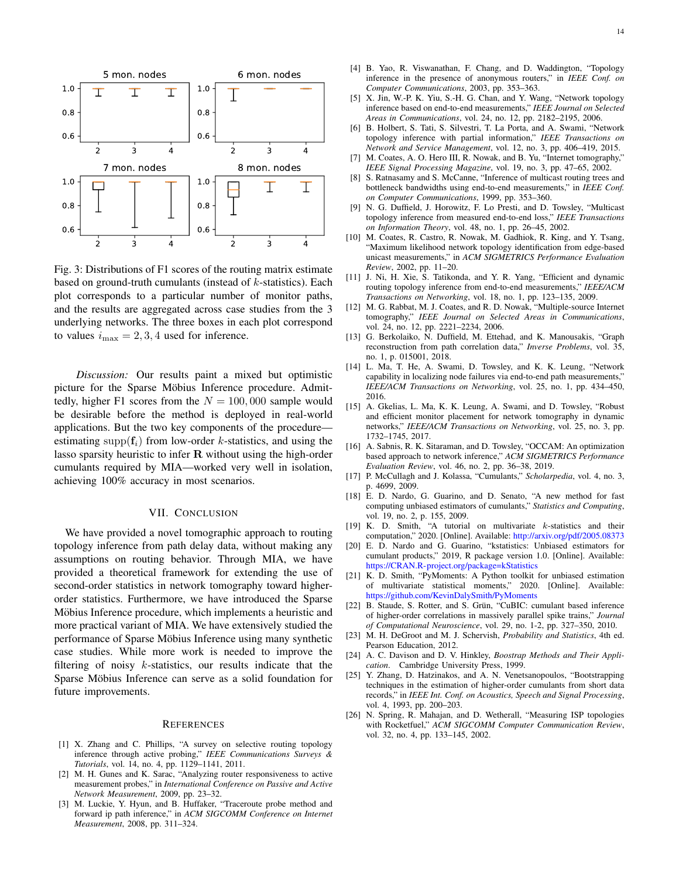

Fig. 3: Distributions of F1 scores of the routing matrix estimate based on ground-truth cumulants (instead of  $k$ -statistics). Each plot corresponds to a particular number of monitor paths, and the results are aggregated across case studies from the 3 underlying networks. The three boxes in each plot correspond to values  $i_{\text{max}} = 2, 3, 4$  used for inference.

*Discussion:* Our results paint a mixed but optimistic picture for the Sparse Möbius Inference procedure. Admittedly, higher F1 scores from the  $N = 100,000$  sample would be desirable before the method is deployed in real-world applications. But the two key components of the procedure estimating supp $(f_i)$  from low-order k-statistics, and using the lasso sparsity heuristic to infer  $R$  without using the high-order cumulants required by MIA—worked very well in isolation, achieving 100% accuracy in most scenarios.

#### VII. CONCLUSION

We have provided a novel tomographic approach to routing topology inference from path delay data, without making any assumptions on routing behavior. Through MIA, we have provided a theoretical framework for extending the use of second-order statistics in network tomography toward higherorder statistics. Furthermore, we have introduced the Sparse Möbius Inference procedure, which implements a heuristic and more practical variant of MIA. We have extensively studied the performance of Sparse Möbius Inference using many synthetic case studies. While more work is needed to improve the filtering of noisy  $k$ -statistics, our results indicate that the Sparse Möbius Inference can serve as a solid foundation for future improvements.

#### **REFERENCES**

- [1] X. Zhang and C. Phillips, "A survey on selective routing topology inference through active probing," *IEEE Communications Surveys & Tutorials*, vol. 14, no. 4, pp. 1129–1141, 2011.
- [2] M. H. Gunes and K. Sarac, "Analyzing router responsiveness to active measurement probes," in *International Conference on Passive and Active Network Measurement*, 2009, pp. 23–32.
- [3] M. Luckie, Y. Hyun, and B. Huffaker, "Traceroute probe method and forward ip path inference," in *ACM SIGCOMM Conference on Internet Measurement*, 2008, pp. 311–324.
- [4] B. Yao, R. Viswanathan, F. Chang, and D. Waddington, "Topology inference in the presence of anonymous routers," in *IEEE Conf. on Computer Communications*, 2003, pp. 353–363.
- [5] X. Jin, W.-P. K. Yiu, S.-H. G. Chan, and Y. Wang, "Network topology inference based on end-to-end measurements," *IEEE Journal on Selected Areas in Communications*, vol. 24, no. 12, pp. 2182–2195, 2006.
- [6] B. Holbert, S. Tati, S. Silvestri, T. La Porta, and A. Swami, "Network topology inference with partial information," *IEEE Transactions on Network and Service Management*, vol. 12, no. 3, pp. 406–419, 2015.
- [7] M. Coates, A. O. Hero III, R. Nowak, and B. Yu, "Internet tomography," *IEEE Signal Processing Magazine*, vol. 19, no. 3, pp. 47–65, 2002.
- [8] S. Ratnasamy and S. McCanne, "Inference of multicast routing trees and bottleneck bandwidths using end-to-end measurements," in *IEEE Conf. on Computer Communications*, 1999, pp. 353–360.
- [9] N. G. Duffield, J. Horowitz, F. Lo Presti, and D. Towsley, "Multicast topology inference from measured end-to-end loss," *IEEE Transactions on Information Theory*, vol. 48, no. 1, pp. 26–45, 2002.
- [10] M. Coates, R. Castro, R. Nowak, M. Gadhiok, R. King, and Y. Tsang, "Maximum likelihood network topology identification from edge-based unicast measurements," in *ACM SIGMETRICS Performance Evaluation Review*, 2002, pp. 11–20.
- [11] J. Ni, H. Xie, S. Tatikonda, and Y. R. Yang, "Efficient and dynamic routing topology inference from end-to-end measurements," *IEEE/ACM Transactions on Networking*, vol. 18, no. 1, pp. 123–135, 2009.
- [12] M. G. Rabbat, M. J. Coates, and R. D. Nowak, "Multiple-source Internet tomography," *IEEE Journal on Selected Areas in Communications*, vol. 24, no. 12, pp. 2221–2234, 2006.
- [13] G. Berkolaiko, N. Duffield, M. Ettehad, and K. Manousakis, "Graph reconstruction from path correlation data," *Inverse Problems*, vol. 35, no. 1, p. 015001, 2018.
- [14] L. Ma, T. He, A. Swami, D. Towsley, and K. K. Leung, "Network capability in localizing node failures via end-to-end path measurements," *IEEE/ACM Transactions on Networking*, vol. 25, no. 1, pp. 434–450, 2016.
- [15] A. Gkelias, L. Ma, K. K. Leung, A. Swami, and D. Towsley, "Robust and efficient monitor placement for network tomography in dynamic networks," *IEEE/ACM Transactions on Networking*, vol. 25, no. 3, pp. 1732–1745, 2017.
- [16] A. Sabnis, R. K. Sitaraman, and D. Towsley, "OCCAM: An optimization based approach to network inference," *ACM SIGMETRICS Performance Evaluation Review*, vol. 46, no. 2, pp. 36–38, 2019.
- [17] P. McCullagh and J. Kolassa, "Cumulants," *Scholarpedia*, vol. 4, no. 3, p. 4699, 2009.
- [18] E. D. Nardo, G. Guarino, and D. Senato, "A new method for fast computing unbiased estimators of cumulants," *Statistics and Computing*, vol. 19, no. 2, p. 155, 2009.
- [19] K. D. Smith, "A tutorial on multivariate k-statistics and their computation," 2020. [Online]. Available: http://arxiv.org/pdf/2005.08373
- [20] E. D. Nardo and G. Guarino, "kstatistics: Unbiased estimators for cumulant products," 2019, R package version 1.0. [Online]. Available: https://CRAN.R-project.org/package=kStatistics
- [21] K. D. Smith, "PyMoments: A Python toolkit for unbiased estimation of multivariate statistical moments," 2020. [Online]. Available: https://github.com/KevinDalySmith/PyMoments
- [22] B. Staude, S. Rotter, and S. Grün, "CuBIC: cumulant based inference of higher-order correlations in massively parallel spike trains," *Journal of Computational Neuroscience*, vol. 29, no. 1-2, pp. 327–350, 2010.
- [23] M. H. DeGroot and M. J. Schervish, *Probability and Statistics*, 4th ed. Pearson Education, 2012.
- [24] A. C. Davison and D. V. Hinkley, *Boostrap Methods and Their Application*. Cambridge University Press, 1999.
- [25] Y. Zhang, D. Hatzinakos, and A. N. Venetsanopoulos, "Bootstrapping techniques in the estimation of higher-order cumulants from short data records," in *IEEE Int. Conf. on Acoustics, Speech and Signal Processing*, vol. 4, 1993, pp. 200–203.
- [26] N. Spring, R. Mahajan, and D. Wetherall, "Measuring ISP topologies with Rocketfuel," *ACM SIGCOMM Computer Communication Review*, vol. 32, no. 4, pp. 133–145, 2002.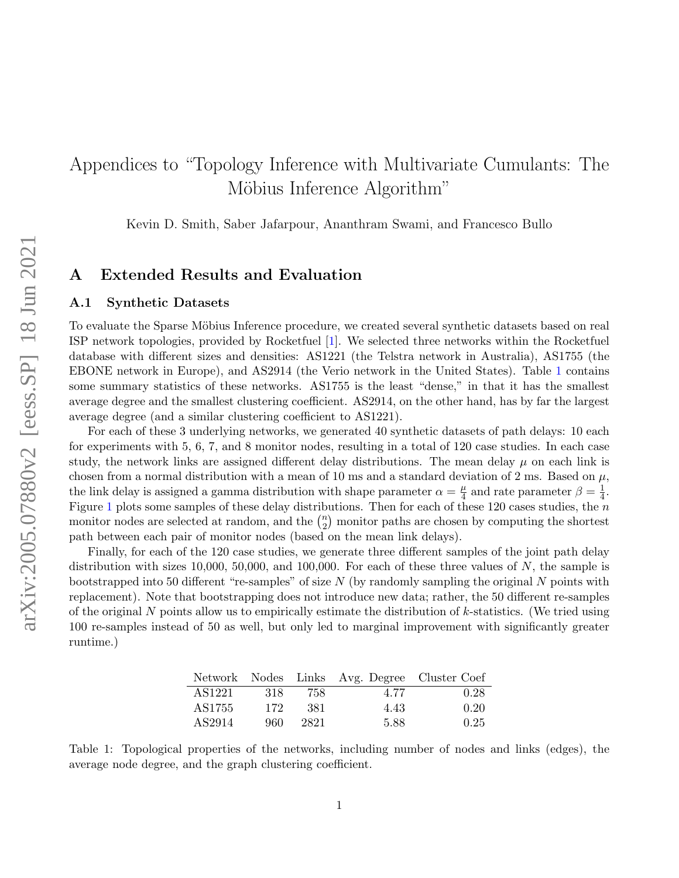# Appendices to "Topology Inference with Multivariate Cumulants: The Möbius Inference Algorithm"

Kevin D. Smith, Saber Jafarpour, Ananthram Swami, and Francesco Bullo

## A Extended Results and Evaluation

#### A.1 Synthetic Datasets

To evaluate the Sparse Möbius Inference procedure, we created several synthetic datasets based on real ISP network topologies, provided by Rocketfuel [1]. We selected three networks within the Rocketfuel database with different sizes and densities: AS1221 (the Telstra network in Australia), AS1755 (the EBONE network in Europe), and AS2914 (the Verio network in the United States). Table 1 contains some summary statistics of these networks. AS1755 is the least "dense," in that it has the smallest average degree and the smallest clustering coefficient. AS2914, on the other hand, has by far the largest average degree (and a similar clustering coefficient to AS1221).

For each of these 3 underlying networks, we generated 40 synthetic datasets of path delays: 10 each for experiments with 5, 6, 7, and 8 monitor nodes, resulting in a total of 120 case studies. In each case study, the network links are assigned different delay distributions. The mean delay  $\mu$  on each link is chosen from a normal distribution with a mean of 10 ms and a standard deviation of 2 ms. Based on  $\mu$ , the link delay is assigned a gamma distribution with shape parameter  $\alpha = \frac{\mu}{4}$  $\frac{\mu}{4}$  and rate parameter  $\beta = \frac{1}{4}$  $\frac{1}{4}$ . Figure 1 plots some samples of these delay distributions. Then for each of these 120 cases studies, the  $n$ monitor nodes are selected at random, and the  $\binom{n}{2}$  $\binom{n}{2}$  monitor paths are chosen by computing the shortest path between each pair of monitor nodes (based on the mean link delays).

Finally, for each of the 120 case studies, we generate three different samples of the joint path delay distribution with sizes 10,000, 50,000, and 100,000. For each of these three values of  $N$ , the sample is bootstrapped into 50 different "re-samples" of size  $N$  (by randomly sampling the original  $N$  points with replacement). Note that bootstrapping does not introduce new data; rather, the 50 different re-samples of the original  $N$  points allow us to empirically estimate the distribution of  $k$ -statistics. (We tried using 100 re-samples instead of 50 as well, but only led to marginal improvement with significantly greater runtime.)

|        |     |      | Network Nodes Links Avg. Degree Cluster Coef |      |
|--------|-----|------|----------------------------------------------|------|
| AS1221 | 318 | 758. | 4.77                                         | 0.28 |
| AS1755 | 172 | 381  | 4.43                                         | 0.20 |
| AS2914 | 960 | 2821 | 5.88                                         | 0.25 |

Table 1: Topological properties of the networks, including number of nodes and links (edges), the average node degree, and the graph clustering coefficient.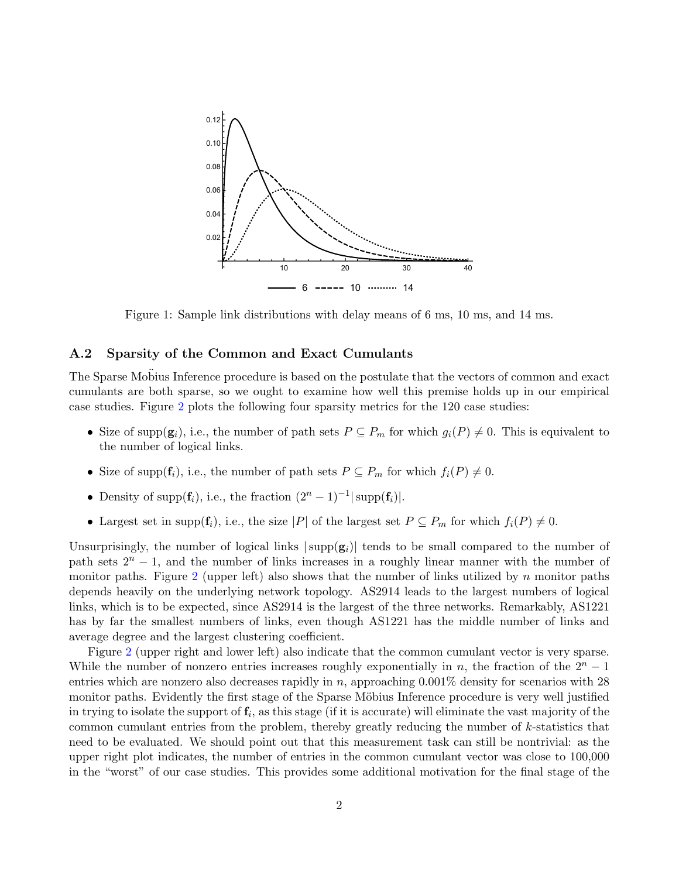

Figure 1: Sample link distributions with delay means of 6 ms, 10 ms, and 14 ms.

### A.2 Sparsity of the Common and Exact Cumulants

The Sparse Mobius Inference procedure is based on the postulate that the vectors of common and exact cumulants are both sparse, so we ought to examine how well this premise holds up in our empirical case studies. Figure 2 plots the following four sparsity metrics for the 120 case studies:

- Size of supp $(g_i)$ , i.e., the number of path sets  $P \subseteq P_m$  for which  $g_i(P) \neq 0$ . This is equivalent to the number of logical links.
- Size of supp $(\mathbf{f}_i)$ , i.e., the number of path sets  $P \subseteq P_m$  for which  $f_i(P) \neq 0$ .
- Density of supp $(\mathbf{f}_i)$ , i.e., the fraction  $(2^n 1)^{-1}$  supp $(\mathbf{f}_i)$ .
- Largest set in supp $(f_i)$ , i.e., the size  $|P|$  of the largest set  $P \subseteq P_m$  for which  $f_i(P) \neq 0$ .

Unsurprisingly, the number of logical links  $|\text{supp}(\mathbf{g}_i)|$  tends to be small compared to the number of path sets  $2^n - 1$ , and the number of links increases in a roughly linear manner with the number of monitor paths. Figure 2 (upper left) also shows that the number of links utilized by n monitor paths depends heavily on the underlying network topology. AS2914 leads to the largest numbers of logical links, which is to be expected, since AS2914 is the largest of the three networks. Remarkably, AS1221 has by far the smallest numbers of links, even though AS1221 has the middle number of links and average degree and the largest clustering coefficient.

Figure 2 (upper right and lower left) also indicate that the common cumulant vector is very sparse. While the number of nonzero entries increases roughly exponentially in n, the fraction of the  $2<sup>n</sup> - 1$ entries which are nonzero also decreases rapidly in n, approaching  $0.001\%$  density for scenarios with 28 monitor paths. Evidently the first stage of the Sparse Möbius Inference procedure is very well justified in trying to isolate the support of  $f_i$ , as this stage (if it is accurate) will eliminate the vast majority of the common cumulant entries from the problem, thereby greatly reducing the number of k-statistics that need to be evaluated. We should point out that this measurement task can still be nontrivial: as the upper right plot indicates, the number of entries in the common cumulant vector was close to 100,000 in the "worst" of our case studies. This provides some additional motivation for the final stage of the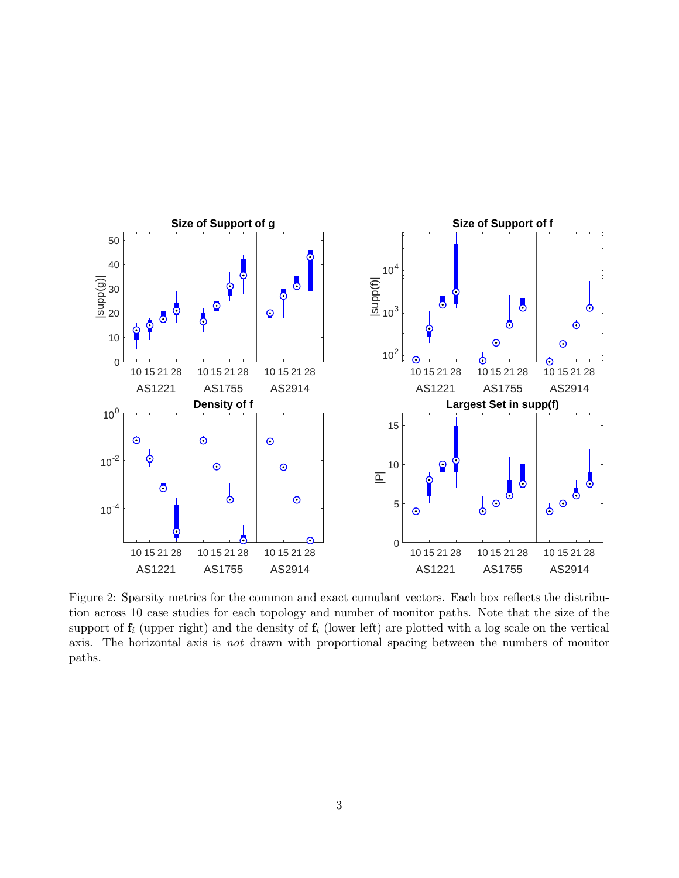

Figure 2: Sparsity metrics for the common and exact cumulant vectors. Each box reflects the distribution across 10 case studies for each topology and number of monitor paths. Note that the size of the support of  $f_i$  (upper right) and the density of  $f_i$  (lower left) are plotted with a log scale on the vertical axis. The horizontal axis is not drawn with proportional spacing between the numbers of monitor paths.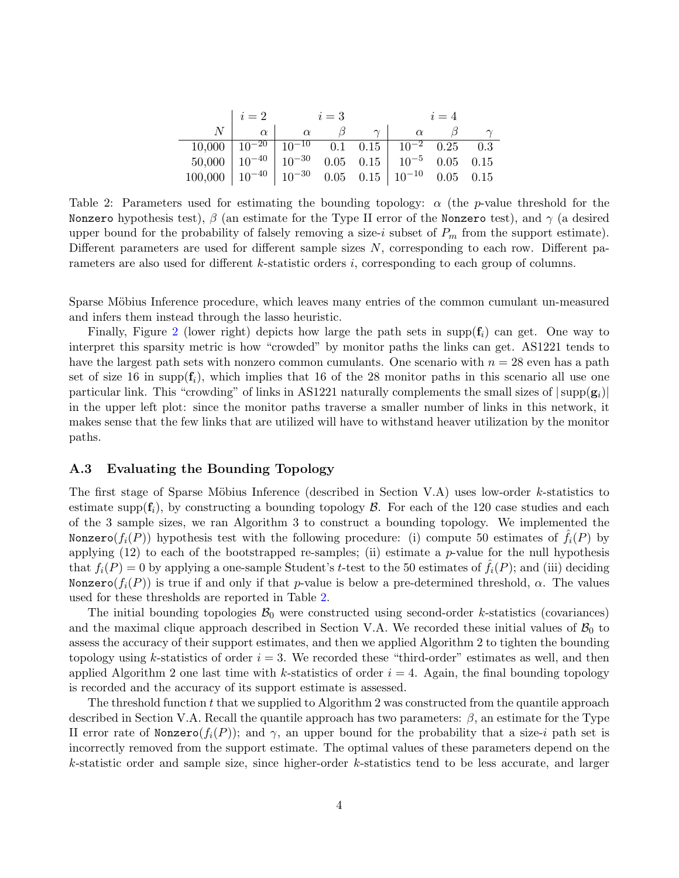|                                                                    |                                                                                         | $i=2$ $i=3$         |  |  | $i=4$                         |  |  |
|--------------------------------------------------------------------|-----------------------------------------------------------------------------------------|---------------------|--|--|-------------------------------|--|--|
|                                                                    |                                                                                         | $\alpha$   $\alpha$ |  |  | $\gamma$   $\alpha$   $\beta$ |  |  |
|                                                                    | $\boxed{10,000}$ $\boxed{10^{-20}$ $\boxed{10^{-10}$ 0.1 0.15 $\boxed{10^{-2}$ 0.25 0.3 |                     |  |  |                               |  |  |
| $50,000$   $10^{-40}$   $10^{-30}$ 0.05 0.15   $10^{-5}$ 0.05 0.15 |                                                                                         |                     |  |  |                               |  |  |
| $100,000$ $10^{-40}$ $10^{-30}$ 0.05 0.15 $10^{-10}$ 0.05 0.15     |                                                                                         |                     |  |  |                               |  |  |

Table 2: Parameters used for estimating the bounding topology:  $\alpha$  (the p-value threshold for the Nonzero hypothesis test),  $\beta$  (an estimate for the Type II error of the Nonzero test), and  $\gamma$  (a desired upper bound for the probability of falsely removing a size-i subset of  $P_m$  from the support estimate). Different parameters are used for different sample sizes N, corresponding to each row. Different parameters are also used for different k-statistic orders i, corresponding to each group of columns.

Sparse Möbius Inference procedure, which leaves many entries of the common cumulant un-measured and infers them instead through the lasso heuristic.

Finally, Figure 2 (lower right) depicts how large the path sets in supp $(f_i)$  can get. One way to interpret this sparsity metric is how "crowded" by monitor paths the links can get. AS1221 tends to have the largest path sets with nonzero common cumulants. One scenario with  $n = 28$  even has a path set of size 16 in supp $(f_i)$ , which implies that 16 of the 28 monitor paths in this scenario all use one particular link. This "crowding" of links in AS1221 naturally complements the small sizes of  $|\text{supp}(\mathbf{g}_i)|$ in the upper left plot: since the monitor paths traverse a smaller number of links in this network, it makes sense that the few links that are utilized will have to withstand heaver utilization by the monitor paths.

#### A.3 Evaluating the Bounding Topology

The first stage of Sparse Möbius Inference (described in Section V.A) uses low-order  $k$ -statistics to estimate supp $(f_i)$ , by constructing a bounding topology  $\beta$ . For each of the 120 case studies and each of the 3 sample sizes, we ran Algorithm 3 to construct a bounding topology. We implemented the Nonzero( $f_i(P)$ ) hypothesis test with the following procedure: (i) compute 50 estimates of  $\tilde{f}_i(P)$  by applying  $(12)$  to each of the bootstrapped re-samples; (ii) estimate a p-value for the null hypothesis that  $f_i(P) = 0$  by applying a one-sample Student's t-test to the 50 estimates of  $f_i(P)$ ; and (iii) deciding Nonzero( $f_i(P)$ ) is true if and only if that p-value is below a pre-determined threshold,  $\alpha$ . The values used for these thresholds are reported in Table 2.

The initial bounding topologies  $\mathcal{B}_0$  were constructed using second-order k-statistics (covariances) and the maximal clique approach described in Section V.A. We recorded these initial values of  $\mathcal{B}_0$  to assess the accuracy of their support estimates, and then we applied Algorithm 2 to tighten the bounding topology using k-statistics of order  $i = 3$ . We recorded these "third-order" estimates as well, and then applied Algorithm 2 one last time with k-statistics of order  $i = 4$ . Again, the final bounding topology is recorded and the accuracy of its support estimate is assessed.

The threshold function  $t$  that we supplied to Algorithm 2 was constructed from the quantile approach described in Section V.A. Recall the quantile approach has two parameters:  $\beta$ , an estimate for the Type II error rate of Nonzero( $f_i(P)$ ); and  $\gamma$ , an upper bound for the probability that a size-i path set is incorrectly removed from the support estimate. The optimal values of these parameters depend on the k-statistic order and sample size, since higher-order k-statistics tend to be less accurate, and larger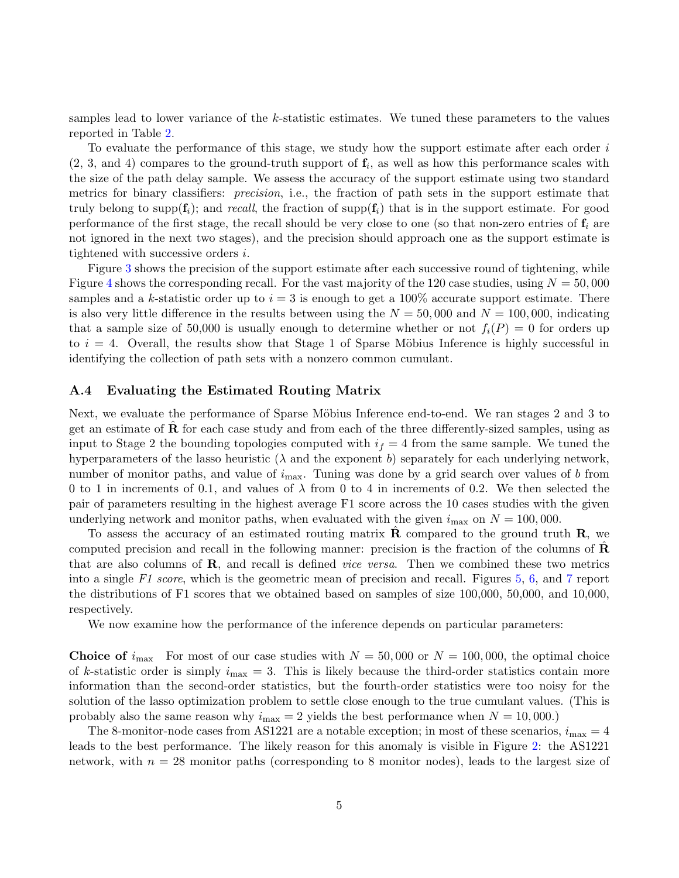samples lead to lower variance of the k-statistic estimates. We tuned these parameters to the values reported in Table 2.

To evaluate the performance of this stage, we study how the support estimate after each order i  $(2, 3, \text{ and } 4)$  compares to the ground-truth support of  $f_i$ , as well as how this performance scales with the size of the path delay sample. We assess the accuracy of the support estimate using two standard metrics for binary classifiers: precision, i.e., the fraction of path sets in the support estimate that truly belong to supp $(f_i)$ ; and recall, the fraction of supp $(f_i)$  that is in the support estimate. For good performance of the first stage, the recall should be very close to one (so that non-zero entries of  $f_i$  are not ignored in the next two stages), and the precision should approach one as the support estimate is tightened with successive orders i.

Figure 3 shows the precision of the support estimate after each successive round of tightening, while Figure 4 shows the corresponding recall. For the vast majority of the 120 case studies, using  $N = 50,000$ samples and a k-statistic order up to  $i = 3$  is enough to get a 100% accurate support estimate. There is also very little difference in the results between using the  $N = 50,000$  and  $N = 100,000$ , indicating that a sample size of 50,000 is usually enough to determine whether or not  $f_i(P) = 0$  for orders up to  $i = 4$ . Overall, the results show that Stage 1 of Sparse Möbius Inference is highly successful in identifying the collection of path sets with a nonzero common cumulant.

### A.4 Evaluating the Estimated Routing Matrix

Next, we evaluate the performance of Sparse Möbius Inference end-to-end. We ran stages 2 and 3 to get an estimate of  **for each case study and from each of the three differently-sized samples, using as** input to Stage 2 the bounding topologies computed with  $i_f = 4$  from the same sample. We tuned the hyperparameters of the lasso heuristic  $(\lambda$  and the exponent b) separately for each underlying network, number of monitor paths, and value of  $i_{\text{max}}$ . Tuning was done by a grid search over values of b from 0 to 1 in increments of 0.1, and values of  $\lambda$  from 0 to 4 in increments of 0.2. We then selected the pair of parameters resulting in the highest average F1 score across the 10 cases studies with the given underlying network and monitor paths, when evaluated with the given  $i_{\text{max}}$  on  $N = 100,000$ .

To assess the accuracy of an estimated routing matrix  $\bf{R}$  compared to the ground truth  $\bf{R}$ , we computed precision and recall in the following manner: precision is the fraction of the columns of  $\bf{R}$ that are also columns of  $\bf{R}$ , and recall is defined *vice versa*. Then we combined these two metrics into a single F1 score, which is the geometric mean of precision and recall. Figures 5, 6, and 7 report the distributions of F1 scores that we obtained based on samples of size 100,000, 50,000, and 10,000, respectively.

We now examine how the performance of the inference depends on particular parameters:

**Choice of**  $i_{\text{max}}$  For most of our case studies with  $N = 50,000$  or  $N = 100,000$ , the optimal choice of k-statistic order is simply  $i_{\text{max}} = 3$ . This is likely because the third-order statistics contain more information than the second-order statistics, but the fourth-order statistics were too noisy for the solution of the lasso optimization problem to settle close enough to the true cumulant values. (This is probably also the same reason why  $i_{\text{max}} = 2$  yields the best performance when  $N = 10,000$ .

The 8-monitor-node cases from AS1221 are a notable exception; in most of these scenarios,  $i_{\text{max}} = 4$ leads to the best performance. The likely reason for this anomaly is visible in Figure 2: the AS1221 network, with  $n = 28$  monitor paths (corresponding to 8 monitor nodes), leads to the largest size of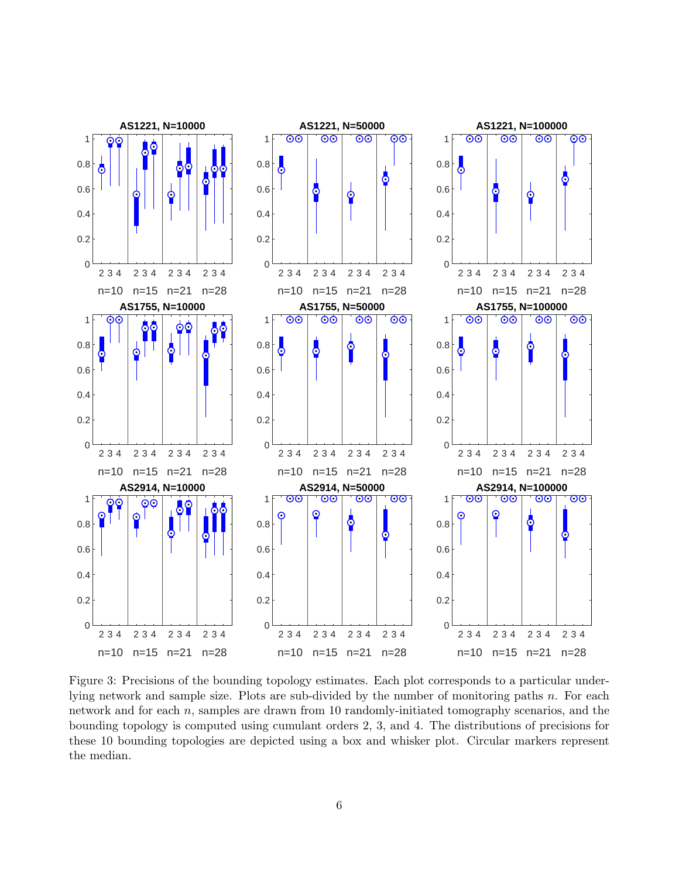

Figure 3: Precisions of the bounding topology estimates. Each plot corresponds to a particular underlying network and sample size. Plots are sub-divided by the number of monitoring paths n. For each network and for each  $n$ , samples are drawn from 10 randomly-initiated tomography scenarios, and the bounding topology is computed using cumulant orders 2, 3, and 4. The distributions of precisions for these 10 bounding topologies are depicted using a box and whisker plot. Circular markers represent the median.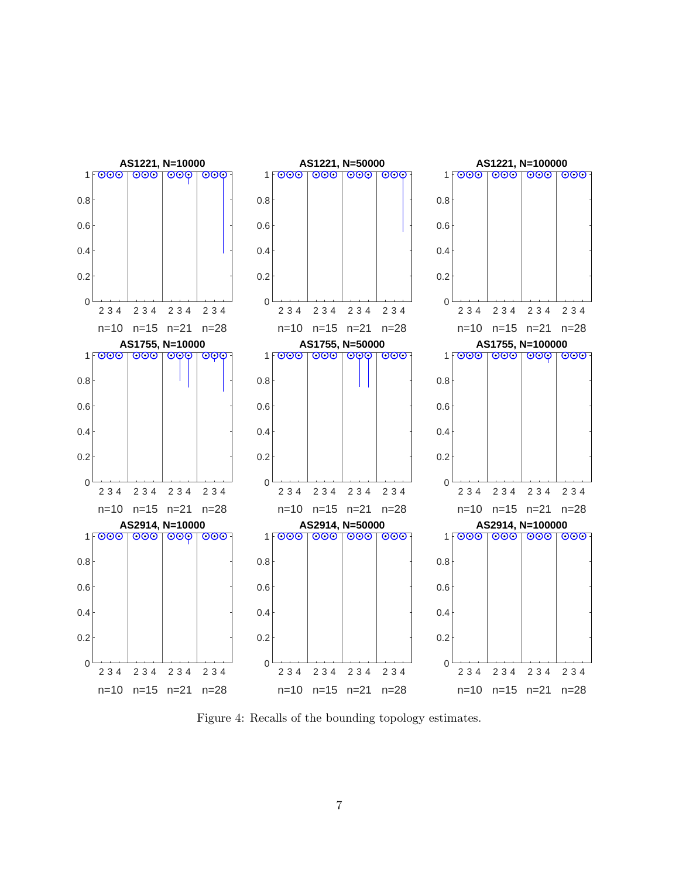

Figure 4: Recalls of the bounding topology estimates.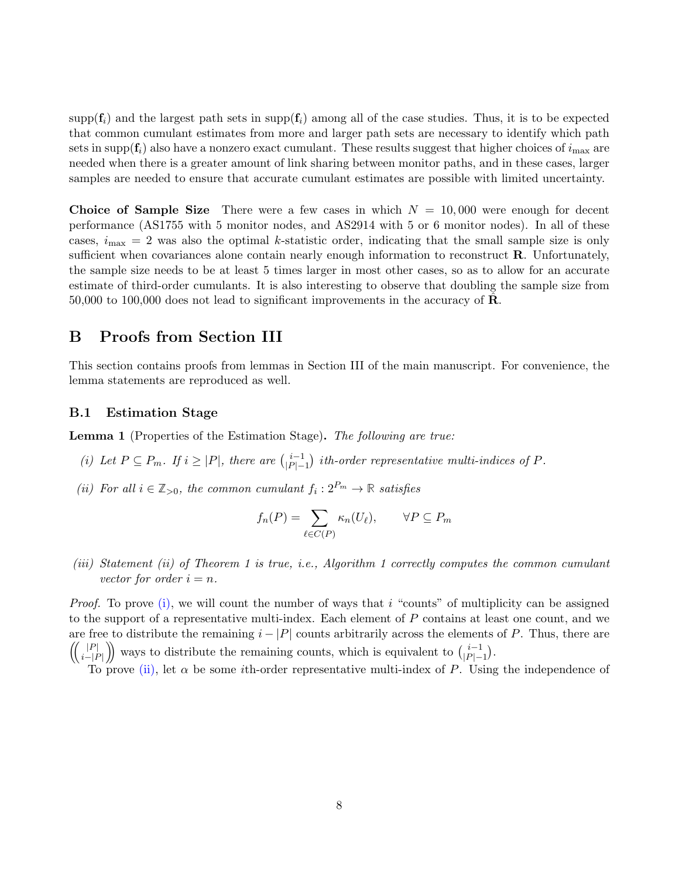$\text{supp}(\mathbf{f}_i)$  and the largest path sets in  $\text{supp}(\mathbf{f}_i)$  among all of the case studies. Thus, it is to be expected that common cumulant estimates from more and larger path sets are necessary to identify which path sets in supp $(f_i)$  also have a nonzero exact cumulant. These results suggest that higher choices of  $i_{\text{max}}$  are needed when there is a greater amount of link sharing between monitor paths, and in these cases, larger samples are needed to ensure that accurate cumulant estimates are possible with limited uncertainty.

Choice of Sample Size There were a few cases in which  $N = 10,000$  were enough for decent performance (AS1755 with 5 monitor nodes, and AS2914 with 5 or 6 monitor nodes). In all of these cases,  $i_{\text{max}} = 2$  was also the optimal k-statistic order, indicating that the small sample size is only sufficient when covariances alone contain nearly enough information to reconstruct **R**. Unfortunately, the sample size needs to be at least 5 times larger in most other cases, so as to allow for an accurate estimate of third-order cumulants. It is also interesting to observe that doubling the sample size from  $50,000$  to 100,000 does not lead to significant improvements in the accuracy of  $\mathbf{R}$ .

# B Proofs from Section III

This section contains proofs from lemmas in Section III of the main manuscript. For convenience, the lemma statements are reproduced as well.

### B.1 Estimation Stage

Lemma 1 (Properties of the Estimation Stage). The following are true:

- (i) Let  $P \subseteq P_m$ . If  $i \geq |P|$ , there are  $\binom{i-1}{|P|-1}$  $|P|-1$ ) ith-order representative multi-indices of  $P$ .
- (ii) For all  $i \in \mathbb{Z}_{>0}$ , the common cumulant  $f_i : 2^{P_m} \to \mathbb{R}$  satisfies

$$
f_n(P) = \sum_{\ell \in C(P)} \kappa_n(U_\ell), \qquad \forall P \subseteq P_m
$$

(iii) Statement (ii) of Theorem 1 is true, i.e., Algorithm 1 correctly computes the common cumulant vector for order  $i = n$ .

*Proof.* To prove  $(i)$ , we will count the number of ways that i "counts" of multiplicity can be assigned to the support of a representative multi-index. Each element of P contains at least one count, and we are free to distribute the remaining  $i - |P|$  counts arbitrarily across the elements of P. Thus, there are  $\left(\begin{array}{c} |P| \end{array}\right)$  $\binom{|P|}{i-|P|}$  ways to distribute the remaining counts, which is equivalent to  $\binom{i-1}{|P|-1}$  $|P|-1$ .

To prove (ii), let  $\alpha$  be some *i*th-order representative multi-index of P. Using the independence of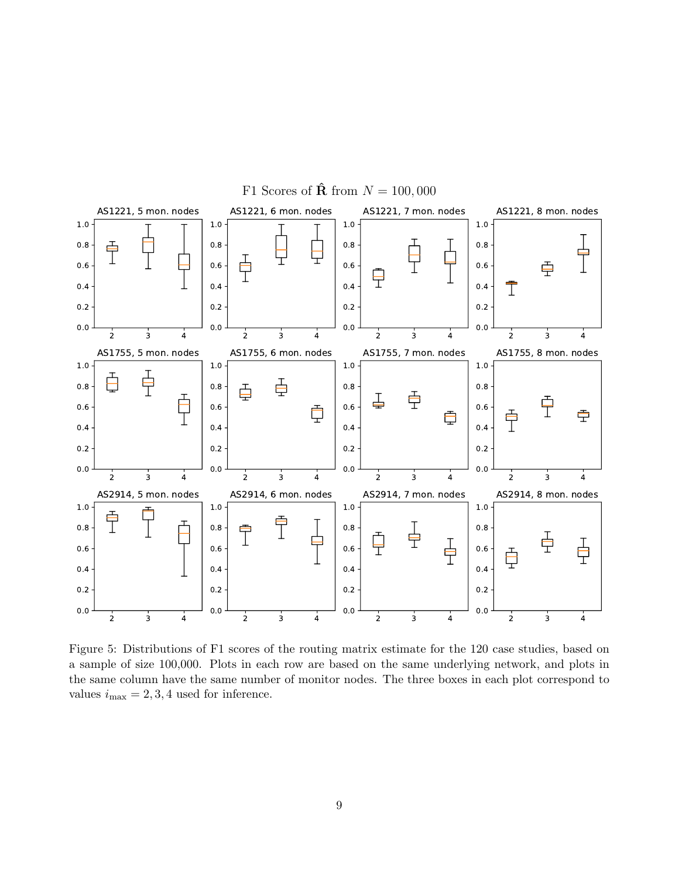

Figure 5: Distributions of F1 scores of the routing matrix estimate for the 120 case studies, based on a sample of size 100,000. Plots in each row are based on the same underlying network, and plots in the same column have the same number of monitor nodes. The three boxes in each plot correspond to values  $i_{\text{max}} = 2, 3, 4$  used for inference.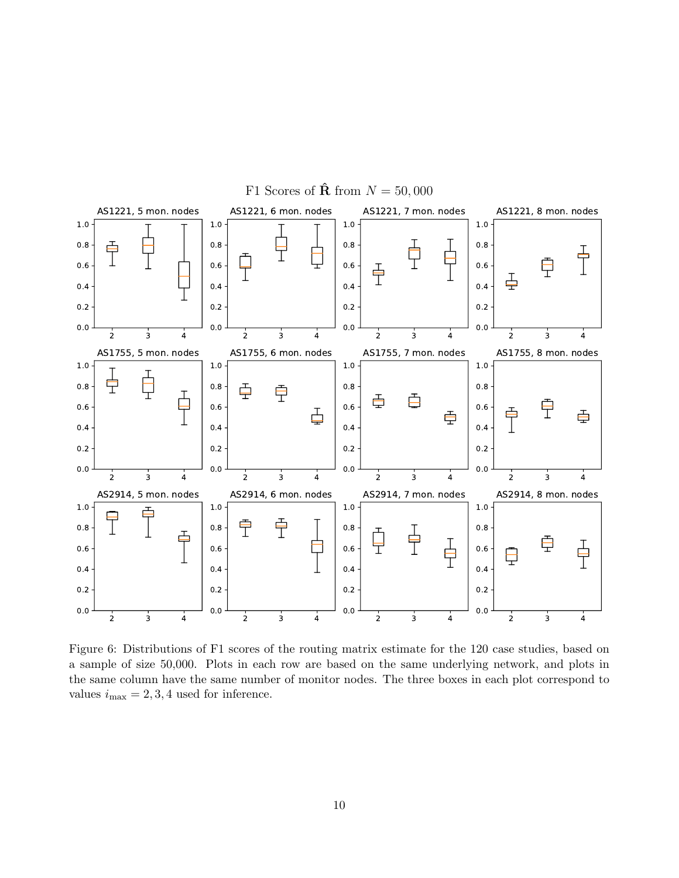

Figure 6: Distributions of F1 scores of the routing matrix estimate for the 120 case studies, based on a sample of size 50,000. Plots in each row are based on the same underlying network, and plots in the same column have the same number of monitor nodes. The three boxes in each plot correspond to values  $i_{\text{max}} = 2, 3, 4$  used for inference.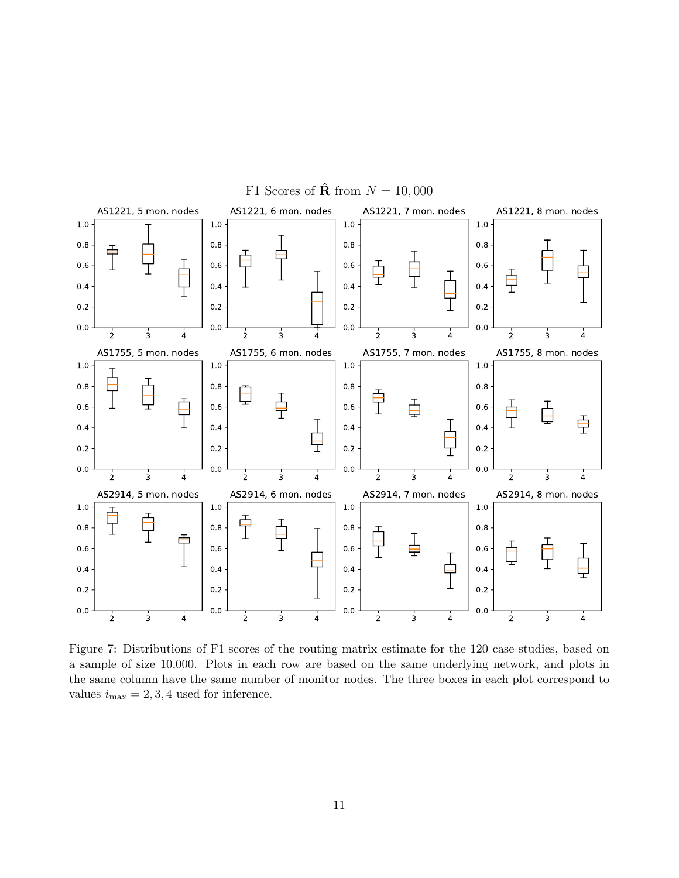

Figure 7: Distributions of F1 scores of the routing matrix estimate for the 120 case studies, based on a sample of size 10,000. Plots in each row are based on the same underlying network, and plots in the same column have the same number of monitor nodes. The three boxes in each plot correspond to values  $i_{\text{max}} = 2, 3, 4$  used for inference.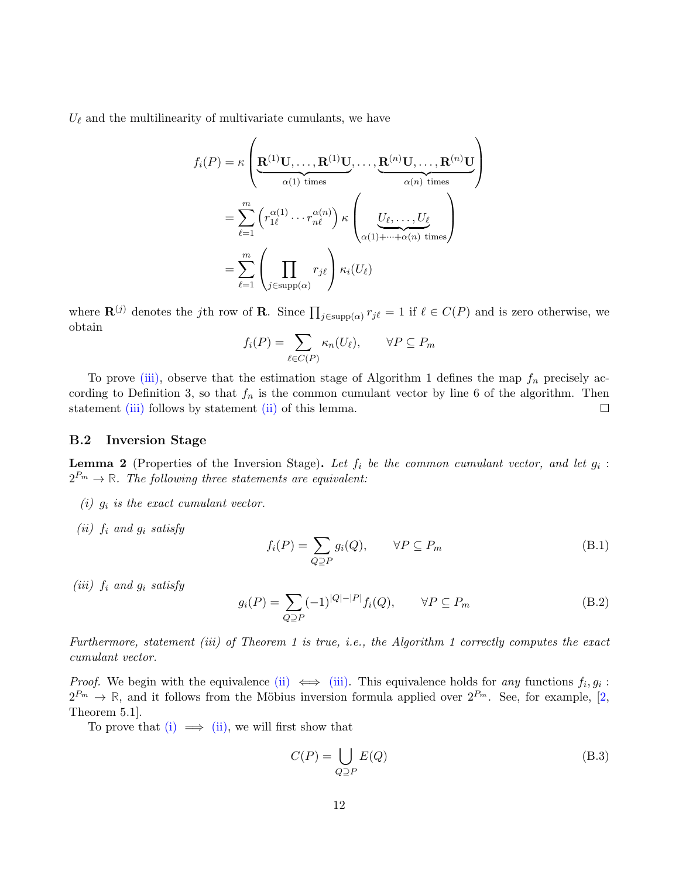$U_{\ell}$  and the multilinearity of multivariate cumulants, we have

$$
f_i(P) = \kappa \left( \underbrace{\mathbf{R}^{(1)} \mathbf{U}, \dots, \mathbf{R}^{(1)} \mathbf{U}}_{\alpha(1) \text{ times}}, \dots, \underbrace{\mathbf{R}^{(n)} \mathbf{U}, \dots, \mathbf{R}^{(n)} \mathbf{U}}_{\alpha(n) \text{ times}} \right)
$$
  
= 
$$
\sum_{\ell=1}^m \left( r_{1\ell}^{\alpha(1)} \cdots r_{n\ell}^{\alpha(n)} \right) \kappa \left( \underbrace{U_{\ell}, \dots, U_{\ell}}_{\alpha(1) + \dots + \alpha(n) \text{ times}} \right)
$$
  
= 
$$
\sum_{\ell=1}^m \left( \prod_{j \in \text{supp}(\alpha)} r_{j\ell} \right) \kappa_i(U_{\ell})
$$

where  $\mathbf{R}^{(j)}$  denotes the jth row of **R**. Since  $\prod_{j \in \text{supp}(\alpha)} r_{j\ell} = 1$  if  $\ell \in C(P)$  and is zero otherwise, we obtain

$$
f_i(P) = \sum_{\ell \in C(P)} \kappa_n(U_\ell), \qquad \forall P \subseteq P_m
$$

To prove (iii), observe that the estimation stage of Algorithm 1 defines the map  $f_n$  precisely according to Definition 3, so that  $f_n$  is the common cumulant vector by line 6 of the algorithm. Then statement (iii) follows by statement (ii) of this lemma.  $\Box$ 

#### B.2 Inversion Stage

**Lemma 2** (Properties of the Inversion Stage). Let  $f_i$  be the common cumulant vector, and let  $g_i$ :  $2^{P_m} \rightarrow \mathbb{R}$ . The following three statements are equivalent:

- (i)  $g_i$  is the exact cumulant vector.
- (ii)  $f_i$  and  $g_i$  satisfy

$$
f_i(P) = \sum_{Q \supseteq P} g_i(Q), \qquad \forall P \subseteq P_m \tag{B.1}
$$

(iii)  $f_i$  and  $g_i$  satisfy

$$
g_i(P) = \sum_{Q \supseteq P} (-1)^{|Q| - |P|} f_i(Q), \qquad \forall P \subseteq P_m
$$
\n(B.2)

Furthermore, statement (iii) of Theorem 1 is true, i.e., the Algorithm 1 correctly computes the exact cumulant vector.

*Proof.* We begin with the equivalence (ii)  $\iff$  (iii). This equivalence holds for any functions  $f_i, g_i$ :  $2^{P_m} \to \mathbb{R}$ , and it follows from the Möbius inversion formula applied over  $2^{P_m}$ . See, for example, [2, Theorem 5.1].

To prove that (i)  $\implies$  (ii), we will first show that

$$
C(P) = \bigcup_{Q \supseteq P} E(Q) \tag{B.3}
$$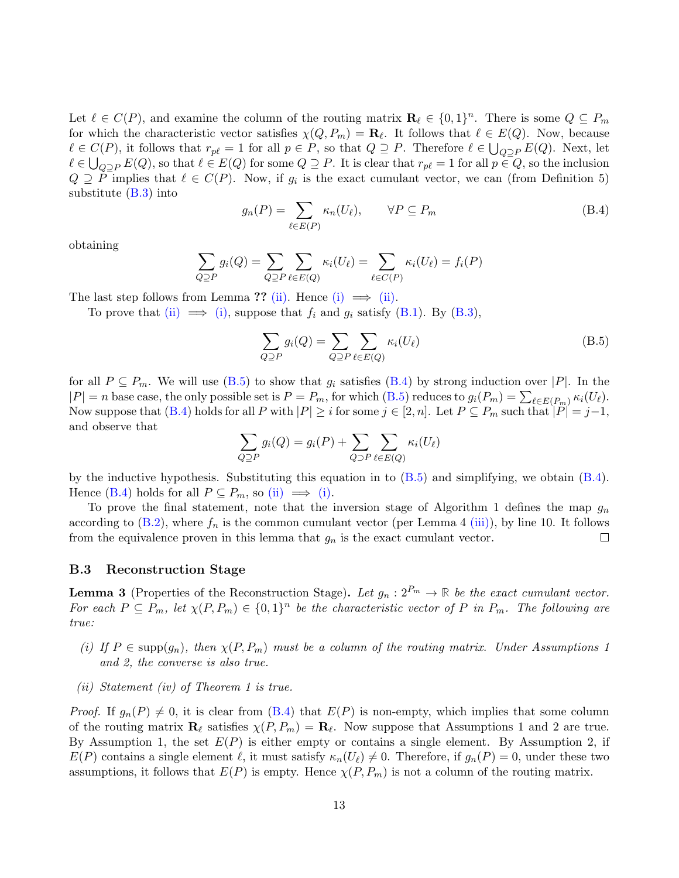Let  $\ell \in C(P)$ , and examine the column of the routing matrix  $\mathbf{R}_{\ell} \in \{0, 1\}^n$ . There is some  $Q \subseteq P_m$ for which the characteristic vector satisfies  $\chi(Q, P_m) = \mathbf{R}_{\ell}$ . It follows that  $\ell \in E(Q)$ . Now, because  $\ell \in C(P)$ , it follows that  $r_{p\ell} = 1$  for all  $p \in P$ , so that  $Q \supseteq P$ . Therefore  $\ell \in \bigcup_{Q \supseteq P} E(Q)$ . Next, let  $\ell \in \bigcup_{Q \supseteq P} E(Q)$ , so that  $\ell \in E(Q)$  for some  $Q \supseteq P$ . It is clear that  $r_{p\ell} = 1$  for all  $p \in Q$ , so the inclusion  $Q \supseteq P$  implies that  $\ell \in C(P)$ . Now, if  $g_i$  is the exact cumulant vector, we can (from Definition 5) substitute  $(B.3)$  into

$$
g_n(P) = \sum_{\ell \in E(P)} \kappa_n(U_\ell), \qquad \forall P \subseteq P_m \tag{B.4}
$$

obtaining

$$
\sum_{Q \supseteq P} g_i(Q) = \sum_{Q \supseteq P} \sum_{\ell \in E(Q)} \kappa_i(U_\ell) = \sum_{\ell \in C(P)} \kappa_i(U_\ell) = f_i(P)
$$

The last step follows from Lemma ?? (ii). Hence (i)  $\implies$  (ii).

To prove that (ii)  $\implies$  (i), suppose that  $f_i$  and  $g_i$  satisfy (B.1). By (B.3),

$$
\sum_{Q \supseteq P} g_i(Q) = \sum_{Q \supseteq P} \sum_{\ell \in E(Q)} \kappa_i(U_\ell)
$$
\n(B.5)

for all  $P \subseteq P_m$ . We will use (B.5) to show that  $g_i$  satisfies (B.4) by strong induction over |P|. In the  $|P| = n$  base case, the only possible set is  $P = P_m$ , for which  $(B.5)$  reduces to  $g_i(P_m) = \sum_{\ell \in E(P_m)} \kappa_i(U_\ell)$ . Now suppose that (B.4) holds for all P with  $|P| \geq i$  for some  $j \in [2, n]$ . Let  $P \subseteq P_m$  such that  $|P| = j-1$ , and observe that

$$
\sum_{Q \supseteq P} g_i(Q) = g_i(P) + \sum_{Q \supseteq P} \sum_{\ell \in E(Q)} \kappa_i(U_\ell)
$$

by the inductive hypothesis. Substituting this equation in to (B.5) and simplifying, we obtain (B.4). Hence (B.4) holds for all  $P \subseteq P_m$ , so (ii)  $\implies$  (i).

To prove the final statement, note that the inversion stage of Algorithm 1 defines the map  $g_n$ according to  $(B.2)$ , where  $f_n$  is the common cumulant vector (per Lemma 4 (iii)), by line 10. It follows from the equivalence proven in this lemma that  $g_n$  is the exact cumulant vector.  $\Box$ 

### B.3 Reconstruction Stage

**Lemma 3** (Properties of the Reconstruction Stage). Let  $g_n : 2^{P_m} \to \mathbb{R}$  be the exact cumulant vector. For each  $P \subseteq P_m$ , let  $\chi(P, P_m) \in \{0, 1\}^n$  be the characteristic vector of P in  $P_m$ . The following are true:

- (i) If  $P \in \text{supp}(g_n)$ , then  $\chi(P, P_m)$  must be a column of the routing matrix. Under Assumptions 1 and 2, the converse is also true.
- (ii) Statement (iv) of Theorem 1 is true.

*Proof.* If  $g_n(P) \neq 0$ , it is clear from (B.4) that  $E(P)$  is non-empty, which implies that some column of the routing matrix  $\mathbf{R}_{\ell}$  satisfies  $\chi(P, P_m) = \mathbf{R}_{\ell}$ . Now suppose that Assumptions 1 and 2 are true. By Assumption 1, the set  $E(P)$  is either empty or contains a single element. By Assumption 2, if  $E(P)$  contains a single element  $\ell$ , it must satisfy  $\kappa_n(U_\ell) \neq 0$ . Therefore, if  $g_n(P) = 0$ , under these two assumptions, it follows that  $E(P)$  is empty. Hence  $\chi(P, P_m)$  is not a column of the routing matrix.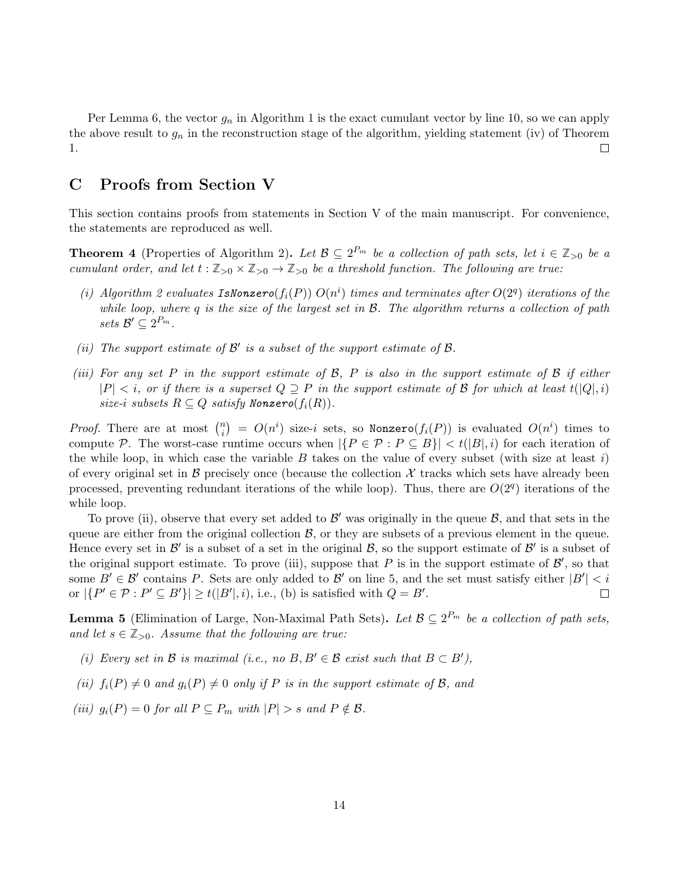Per Lemma 6, the vector  $g_n$  in Algorithm 1 is the exact cumulant vector by line 10, so we can apply the above result to  $g_n$  in the reconstruction stage of the algorithm, yielding statement (iv) of Theorem 1.  $\Box$ 

# C Proofs from Section V

This section contains proofs from statements in Section V of the main manuscript. For convenience, the statements are reproduced as well.

**Theorem 4** (Properties of Algorithm 2). Let  $\mathcal{B} \subseteq 2^{P_m}$  be a collection of path sets, let  $i \in \mathbb{Z}_{>0}$  be a cumulant order, and let  $t : \mathbb{Z}_{>0} \times \mathbb{Z}_{>0} \to \mathbb{Z}_{>0}$  be a threshold function. The following are true:

- (i) Algorithm 2 evaluates IsNonzero( $f_i(P)$ )  $O(n^i)$  times and terminates after  $O(2^q)$  iterations of the while loop, where q is the size of the largest set in  $\mathcal{B}$ . The algorithm returns a collection of path sets  $\mathcal{B}' \subseteq 2^{P_m}$ .
- (ii) The support estimate of  $\mathcal{B}'$  is a subset of the support estimate of  $\mathcal{B}$ .
- (iii) For any set P in the support estimate of  $\mathcal{B}$ , P is also in the support estimate of  $\mathcal{B}$  if either  $|P| < i$ , or if there is a superset  $Q \supseteq P$  in the support estimate of B for which at least  $t(Q_i,i)$ size-i subsets  $R \subseteq Q$  satisfy Nonzero( $f_i(R)$ ).

*Proof.* There are at most  $\binom{n}{i}$  $\binom{n}{i}$  =  $O(n^i)$  size-i sets, so Nonzero $(f_i(P))$  is evaluated  $O(n^i)$  times to compute P. The worst-case runtime occurs when  $|\{P \in \mathcal{P} : P \subseteq B\}| < t(|B|, i)$  for each iteration of the while loop, in which case the variable B takes on the value of every subset (with size at least i) of every original set in  $\beta$  precisely once (because the collection  $\mathcal X$  tracks which sets have already been processed, preventing redundant iterations of the while loop). Thus, there are  $O(2<sup>q</sup>)$  iterations of the while loop.

To prove (ii), observe that every set added to  $\mathcal{B}'$  was originally in the queue  $\mathcal{B}$ , and that sets in the queue are either from the original collection  $\mathcal{B}$ , or they are subsets of a previous element in the queue. Hence every set in  $\mathcal{B}'$  is a subset of a set in the original  $\mathcal{B}$ , so the support estimate of  $\mathcal{B}'$  is a subset of the original support estimate. To prove (iii), suppose that  $P$  is in the support estimate of  $\mathcal{B}'$ , so that some  $B' \in \mathcal{B}'$  contains P. Sets are only added to  $\mathcal{B}'$  on line 5, and the set must satisfy either  $|B'| < i$ or  $|\{P' \in \mathcal{P} : P' \subseteq B'\}| \ge t(|B'|, i)$ , i.e., (b) is satisfied with  $Q = B'$ .

**Lemma 5** (Elimination of Large, Non-Maximal Path Sets). Let  $\mathcal{B} \subseteq 2^{P_m}$  be a collection of path sets, and let  $s \in \mathbb{Z}_{>0}$ . Assume that the following are true:

- (i) Every set in B is maximal (i.e., no  $B, B' \in \mathcal{B}$  exist such that  $B \subset B'$ ),
- (ii)  $f_i(P) \neq 0$  and  $g_i(P) \neq 0$  only if P is in the support estimate of B, and
- (iii)  $g_i(P) = 0$  for all  $P \subseteq P_m$  with  $|P| > s$  and  $P \notin \mathcal{B}$ .